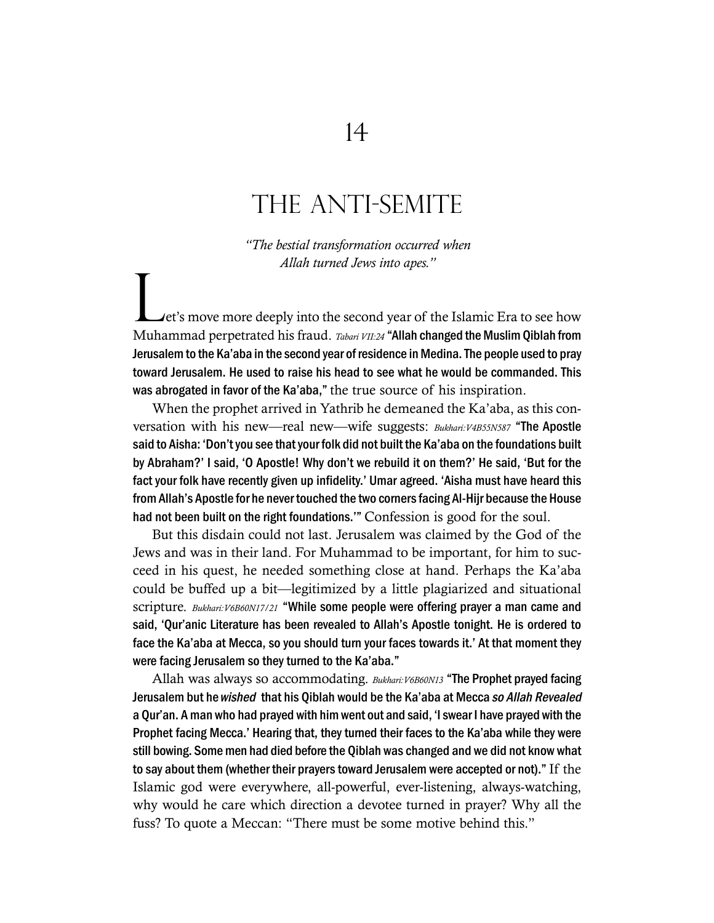## THE ANTI-SEMITE

*"The bestial transformation occurred when Allah turned Jews into apes."*

Let's move more deeply into the second year of the Islamic Era to see how Muhammad perpetrated his fraud. *Tabari VII:24* "Allah changed the Muslim Qiblah from Jerusalem to the Ka'aba in the second year of residence in Medina. The people used to pray toward Jerusalem. He used to raise his head to see what he would be commanded. This was abrogated in favor of the Ka'aba," the true source of his inspiration.

When the prophet arrived in Yathrib he demeaned the Ka'aba, as this conversation with his new—real new—wife suggests: *Bukhari:V4B55N587* "The Apostle said to Aisha: 'Don't you see that your folk did not built the Ka'aba on the foundations built by Abraham?' I said, 'O Apostle! Why don't we rebuild it on them?' He said, 'But for the fact your folk have recently given up infidelity.' Umar agreed. 'Aisha must have heard this from Allah's Apostle for he never touched the two corners facing Al-Hijr because the House had not been built on the right foundations.'" Confession is good for the soul.

But this disdain could not last. Jerusalem was claimed by the God of the Jews and was in their land. For Muhammad to be important, for him to succeed in his quest, he needed something close at hand. Perhaps the Ka'aba could be buffed up a bit—legitimized by a little plagiarized and situational scripture. *Bukhari:V6B60N17/21* "While some people were offering prayer a man came and said, 'Qur'anic Literature has been revealed to Allah's Apostle tonight. He is ordered to face the Ka'aba at Mecca, so you should turn your faces towards it.' At that moment they were facing Jerusalem so they turned to the Ka'aba."

Allah was always so accommodating. *Bukhari:V6B60N13* "The Prophet prayed facing Jerusalem but he wished that his Qiblah would be the Ka'aba at Mecca so Allah Revealed a Qur'an. A man who had prayed with him went out and said, 'I swear I have prayed with the Prophet facing Mecca.' Hearing that, they turned their faces to the Ka'aba while they were still bowing. Some men had died before the Qiblah was changed and we did not know what to say about them (whether their prayers toward Jerusalem were accepted or not)." If the Islamic god were everywhere, all-powerful, ever-listening, always-watching, why would he care which direction a devotee turned in prayer? Why all the fuss? To quote a Meccan: "There must be some motive behind this."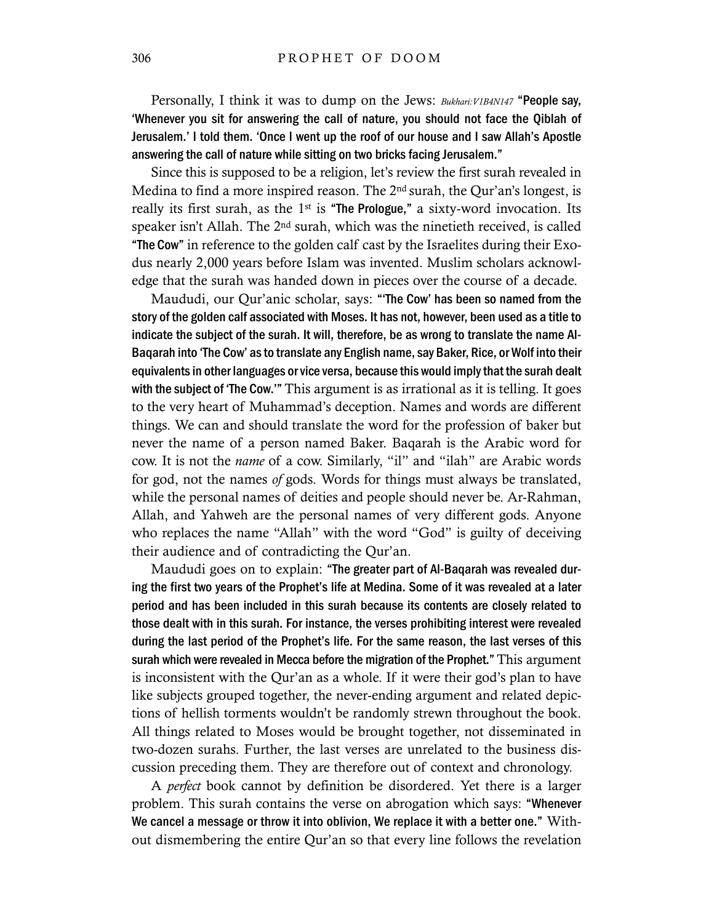Personally, I think it was to dump on the Jews: *Bukhari:V1B4N147* "People say, 'Whenever you sit for answering the call of nature, you should not face the Qiblah of Jerusalem.' I told them. 'Once I went up the roof of our house and I saw Allah's Apostle answering the call of nature while sitting on two bricks facing Jerusalem."

Since this is supposed to be a religion, let's review the first surah revealed in Medina to find a more inspired reason. The 2nd surah, the Qur'an's longest, is really its first surah, as the 1<sup>st</sup> is "The Prologue," a sixty-word invocation. Its speaker isn't Allah. The 2<sup>nd</sup> surah, which was the ninetieth received, is called "The Cow" in reference to the golden calf cast by the Israelites during their Exodus nearly 2,000 years before Islam was invented. Muslim scholars acknowledge that the surah was handed down in pieces over the course of a decade.

Maududi, our Qur'anic scholar, says: "'The Cow' has been so named from the story of the golden calf associated with Moses. It has not, however, been used as a title to indicate the subject of the surah. It will, therefore, be as wrong to translate the name Al-Baqarah into 'The Cow' as to translate any English name, say Baker, Rice, or Wolf into their equivalents in other languages or vice versa, because this would imply that the surah dealt with the subject of 'The Cow.'" This argument is as irrational as it is telling. It goes to the very heart of Muhammad's deception. Names and words are different things. We can and should translate the word for the profession of baker but never the name of a person named Baker. Baqarah is the Arabic word for cow. It is not the *name* of a cow. Similarly, "il" and "ilah" are Arabic words for god, not the names *of* gods. Words for things must always be translated, while the personal names of deities and people should never be. Ar-Rahman, Allah, and Yahweh are the personal names of very different gods. Anyone who replaces the name "Allah" with the word "God" is guilty of deceiving their audience and of contradicting the Qur'an.

Maududi goes on to explain: "The greater part of Al-Baqarah was revealed during the first two years of the Prophet's life at Medina. Some of it was revealed at a later period and has been included in this surah because its contents are closely related to those dealt with in this surah. For instance, the verses prohibiting interest were revealed during the last period of the Prophet's life. For the same reason, the last verses of this surah which were revealed in Mecca before the migration of the Prophet." This argument is inconsistent with the Qur'an as a whole. If it were their god's plan to have like subjects grouped together, the never-ending argument and related depictions of hellish torments wouldn't be randomly strewn throughout the book. All things related to Moses would be brought together, not disseminated in two-dozen surahs. Further, the last verses are unrelated to the business discussion preceding them. They are therefore out of context and chronology.

A *perfect* book cannot by definition be disordered. Yet there is a larger problem. This surah contains the verse on abrogation which says: "Whenever We cancel a message or throw it into oblivion, We replace it with a better one." Without dismembering the entire Qur'an so that every line follows the revelation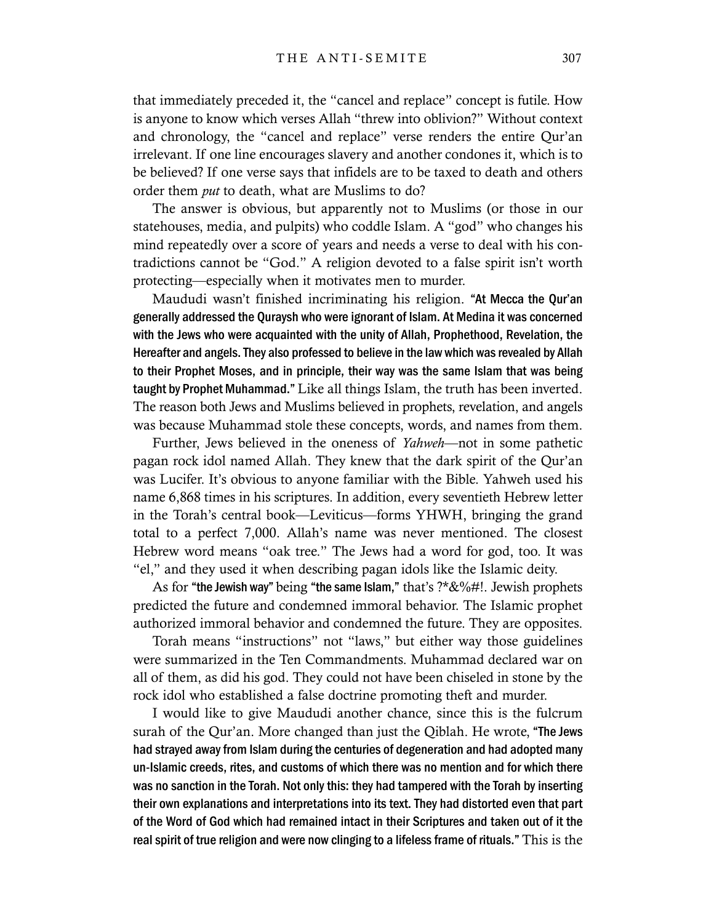that immediately preceded it, the "cancel and replace" concept is futile. How is anyone to know which verses Allah "threw into oblivion?" Without context and chronology, the "cancel and replace" verse renders the entire Qur'an irrelevant. If one line encourages slavery and another condones it, which is to be believed? If one verse says that infidels are to be taxed to death and others order them *put* to death, what are Muslims to do?

The answer is obvious, but apparently not to Muslims (or those in our statehouses, media, and pulpits) who coddle Islam. A "god" who changes his mind repeatedly over a score of years and needs a verse to deal with his contradictions cannot be "God." A religion devoted to a false spirit isn't worth protecting—especially when it motivates men to murder.

Maududi wasn't finished incriminating his religion. "At Mecca the Qur'an generally addressed the Quraysh who were ignorant of Islam. At Medina it was concerned with the Jews who were acquainted with the unity of Allah, Prophethood, Revelation, the Hereafter and angels. They also professed to believe in the law which was revealed by Allah to their Prophet Moses, and in principle, their way was the same Islam that was being taught by Prophet Muhammad." Like all things Islam, the truth has been inverted. The reason both Jews and Muslims believed in prophets, revelation, and angels was because Muhammad stole these concepts, words, and names from them.

Further, Jews believed in the oneness of *Yahweh*—not in some pathetic pagan rock idol named Allah. They knew that the dark spirit of the Qur'an was Lucifer. It's obvious to anyone familiar with the Bible. Yahweh used his name 6,868 times in his scriptures. In addition, every seventieth Hebrew letter in the Torah's central book—Leviticus—forms YHWH, bringing the grand total to a perfect 7,000. Allah's name was never mentioned. The closest Hebrew word means "oak tree." The Jews had a word for god, too. It was "el," and they used it when describing pagan idols like the Islamic deity.

As for "the Jewish way" being "the same Islam," that's  $?*&\%#!$ . Jewish prophets predicted the future and condemned immoral behavior. The Islamic prophet authorized immoral behavior and condemned the future. They are opposites.

Torah means "instructions" not "laws," but either way those guidelines were summarized in the Ten Commandments. Muhammad declared war on all of them, as did his god. They could not have been chiseled in stone by the rock idol who established a false doctrine promoting theft and murder.

I would like to give Maududi another chance, since this is the fulcrum surah of the Qur'an. More changed than just the Qiblah. He wrote, "The Jews had strayed away from Islam during the centuries of degeneration and had adopted many un-Islamic creeds, rites, and customs of which there was no mention and for which there was no sanction in the Torah. Not only this: they had tampered with the Torah by inserting their own explanations and interpretations into its text. They had distorted even that part of the Word of God which had remained intact in their Scriptures and taken out of it the real spirit of true religion and were now clinging to a lifeless frame of rituals." This is the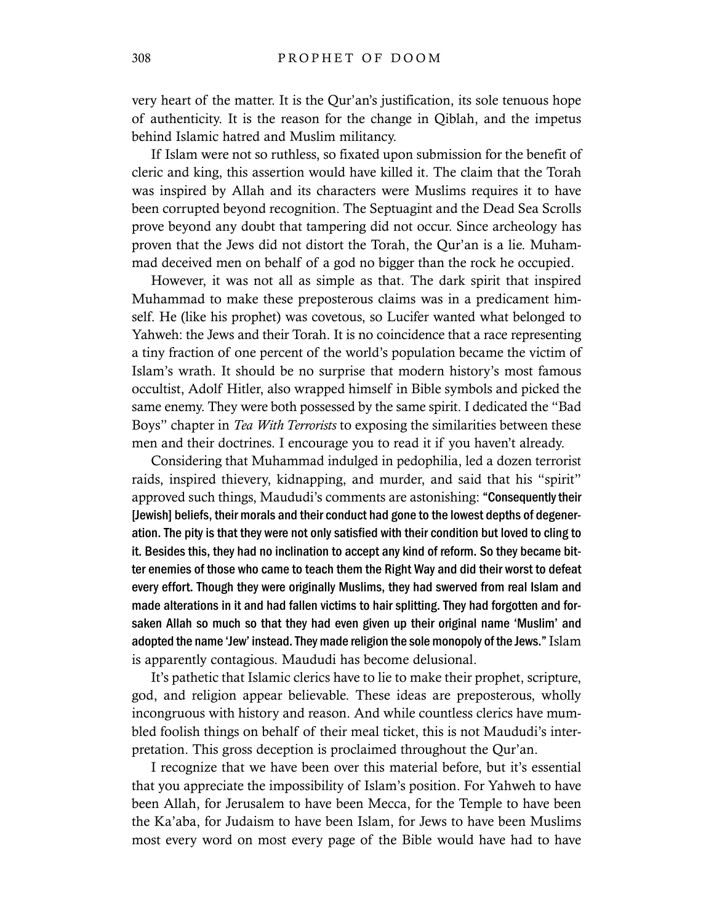very heart of the matter. It is the Qur'an's justification, its sole tenuous hope of authenticity. It is the reason for the change in Qiblah, and the impetus behind Islamic hatred and Muslim militancy.

If Islam were not so ruthless, so fixated upon submission for the benefit of cleric and king, this assertion would have killed it. The claim that the Torah was inspired by Allah and its characters were Muslims requires it to have been corrupted beyond recognition. The Septuagint and the Dead Sea Scrolls prove beyond any doubt that tampering did not occur. Since archeology has proven that the Jews did not distort the Torah, the Qur'an is a lie. Muhammad deceived men on behalf of a god no bigger than the rock he occupied.

However, it was not all as simple as that. The dark spirit that inspired Muhammad to make these preposterous claims was in a predicament himself. He (like his prophet) was covetous, so Lucifer wanted what belonged to Yahweh: the Jews and their Torah. It is no coincidence that a race representing a tiny fraction of one percent of the world's population became the victim of Islam's wrath. It should be no surprise that modern history's most famous occultist, Adolf Hitler, also wrapped himself in Bible symbols and picked the same enemy. They were both possessed by the same spirit. I dedicated the "Bad Boys" chapter in *Tea With Terrorists* to exposing the similarities between these men and their doctrines. I encourage you to read it if you haven't already.

Considering that Muhammad indulged in pedophilia, led a dozen terrorist raids, inspired thievery, kidnapping, and murder, and said that his "spirit" approved such things, Maududi's comments are astonishing: "Consequently their [Jewish] beliefs, their morals and their conduct had gone to the lowest depths of degeneration. The pity is that they were not only satisfied with their condition but loved to cling to it. Besides this, they had no inclination to accept any kind of reform. So they became bitter enemies of those who came to teach them the Right Way and did their worst to defeat every effort. Though they were originally Muslims, they had swerved from real Islam and made alterations in it and had fallen victims to hair splitting. They had forgotten and forsaken Allah so much so that they had even given up their original name 'Muslim' and adopted the name 'Jew' instead. They made religion the sole monopoly of the Jews." Islam is apparently contagious. Maududi has become delusional.

It's pathetic that Islamic clerics have to lie to make their prophet, scripture, god, and religion appear believable. These ideas are preposterous, wholly incongruous with history and reason. And while countless clerics have mumbled foolish things on behalf of their meal ticket, this is not Maududi's interpretation. This gross deception is proclaimed throughout the Qur'an.

I recognize that we have been over this material before, but it's essential that you appreciate the impossibility of Islam's position. For Yahweh to have been Allah, for Jerusalem to have been Mecca, for the Temple to have been the Ka'aba, for Judaism to have been Islam, for Jews to have been Muslims most every word on most every page of the Bible would have had to have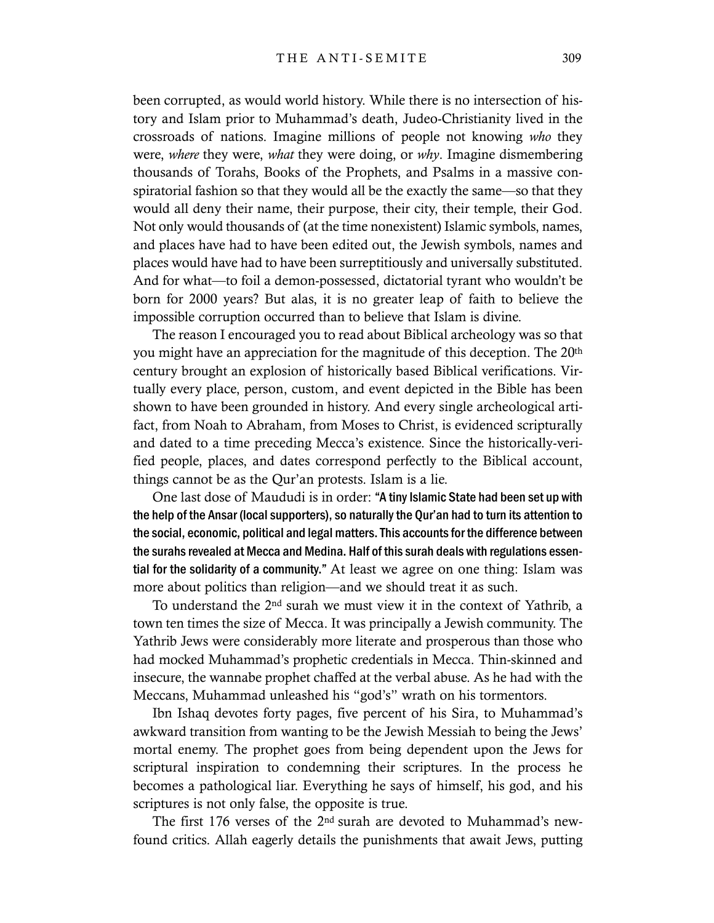been corrupted, as would world history. While there is no intersection of history and Islam prior to Muhammad's death, Judeo-Christianity lived in the crossroads of nations. Imagine millions of people not knowing *who* they were, *where* they were, *what* they were doing, or *why*. Imagine dismembering thousands of Torahs, Books of the Prophets, and Psalms in a massive conspiratorial fashion so that they would all be the exactly the same—so that they would all deny their name, their purpose, their city, their temple, their God. Not only would thousands of (at the time nonexistent) Islamic symbols, names, and places have had to have been edited out, the Jewish symbols, names and places would have had to have been surreptitiously and universally substituted. And for what—to foil a demon-possessed, dictatorial tyrant who wouldn't be born for 2000 years? But alas, it is no greater leap of faith to believe the impossible corruption occurred than to believe that Islam is divine.

The reason I encouraged you to read about Biblical archeology was so that you might have an appreciation for the magnitude of this deception. The 20<sup>th</sup> century brought an explosion of historically based Biblical verifications. Virtually every place, person, custom, and event depicted in the Bible has been shown to have been grounded in history. And every single archeological artifact, from Noah to Abraham, from Moses to Christ, is evidenced scripturally and dated to a time preceding Mecca's existence. Since the historically-verified people, places, and dates correspond perfectly to the Biblical account, things cannot be as the Qur'an protests. Islam is a lie.

One last dose of Maududi is in order: "A tiny Islamic State had been set up with the help of the Ansar (local supporters), so naturally the Qur'an had to turn its attention to the social, economic, political and legal matters. This accounts for the difference between the surahs revealed at Mecca and Medina. Half of this surah deals with regulations essential for the solidarity of a community." At least we agree on one thing: Islam was more about politics than religion—and we should treat it as such.

To understand the 2nd surah we must view it in the context of Yathrib, a town ten times the size of Mecca. It was principally a Jewish community. The Yathrib Jews were considerably more literate and prosperous than those who had mocked Muhammad's prophetic credentials in Mecca. Thin-skinned and insecure, the wannabe prophet chaffed at the verbal abuse. As he had with the Meccans, Muhammad unleashed his "god's" wrath on his tormentors.

Ibn Ishaq devotes forty pages, five percent of his Sira, to Muhammad's awkward transition from wanting to be the Jewish Messiah to being the Jews' mortal enemy. The prophet goes from being dependent upon the Jews for scriptural inspiration to condemning their scriptures. In the process he becomes a pathological liar. Everything he says of himself, his god, and his scriptures is not only false, the opposite is true.

The first 176 verses of the 2nd surah are devoted to Muhammad's newfound critics. Allah eagerly details the punishments that await Jews, putting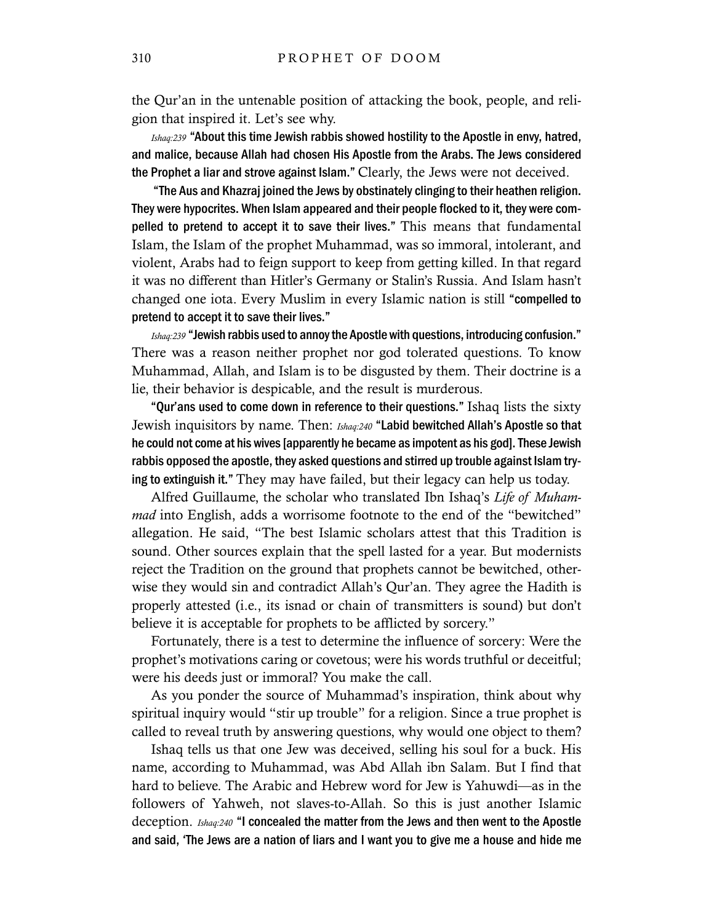the Qur'an in the untenable position of attacking the book, people, and religion that inspired it. Let's see why.

*Ishaq:239* "About this time Jewish rabbis showed hostility to the Apostle in envy, hatred, and malice, because Allah had chosen His Apostle from the Arabs. The Jews considered the Prophet a liar and strove against Islam." Clearly, the Jews were not deceived.

"The Aus and Khazraj joined the Jews by obstinately clinging to their heathen religion. They were hypocrites. When Islam appeared and their people flocked to it, they were compelled to pretend to accept it to save their lives." This means that fundamental Islam, the Islam of the prophet Muhammad, was so immoral, intolerant, and violent, Arabs had to feign support to keep from getting killed. In that regard it was no different than Hitler's Germany or Stalin's Russia. And Islam hasn't changed one iota. Every Muslim in every Islamic nation is still "compelled to pretend to accept it to save their lives."

*Ishaq:239* "Jewish rabbis used to annoy the Apostle with questions, introducing confusion." There was a reason neither prophet nor god tolerated questions. To know Muhammad, Allah, and Islam is to be disgusted by them. Their doctrine is a lie, their behavior is despicable, and the result is murderous.

"Qur'ans used to come down in reference to their questions." Ishaq lists the sixty Jewish inquisitors by name. Then: *Ishaq:240* "Labid bewitched Allah's Apostle so that he could not come at his wives [apparently he became as impotent as his god]. These Jewish rabbis opposed the apostle, they asked questions and stirred up trouble against Islam trying to extinguish it." They may have failed, but their legacy can help us today.

Alfred Guillaume, the scholar who translated Ibn Ishaq's *Life of Muhammad* into English, adds a worrisome footnote to the end of the "bewitched" allegation. He said, "The best Islamic scholars attest that this Tradition is sound. Other sources explain that the spell lasted for a year. But modernists reject the Tradition on the ground that prophets cannot be bewitched, otherwise they would sin and contradict Allah's Qur'an. They agree the Hadith is properly attested (i.e., its isnad or chain of transmitters is sound) but don't believe it is acceptable for prophets to be afflicted by sorcery."

Fortunately, there is a test to determine the influence of sorcery: Were the prophet's motivations caring or covetous; were his words truthful or deceitful; were his deeds just or immoral? You make the call.

As you ponder the source of Muhammad's inspiration, think about why spiritual inquiry would "stir up trouble" for a religion. Since a true prophet is called to reveal truth by answering questions, why would one object to them?

Ishaq tells us that one Jew was deceived, selling his soul for a buck. His name, according to Muhammad, was Abd Allah ibn Salam. But I find that hard to believe. The Arabic and Hebrew word for Jew is Yahuwdi—as in the followers of Yahweh, not slaves-to-Allah. So this is just another Islamic deception. *Ishaq:240* "I concealed the matter from the Jews and then went to the Apostle and said, 'The Jews are a nation of liars and I want you to give me a house and hide me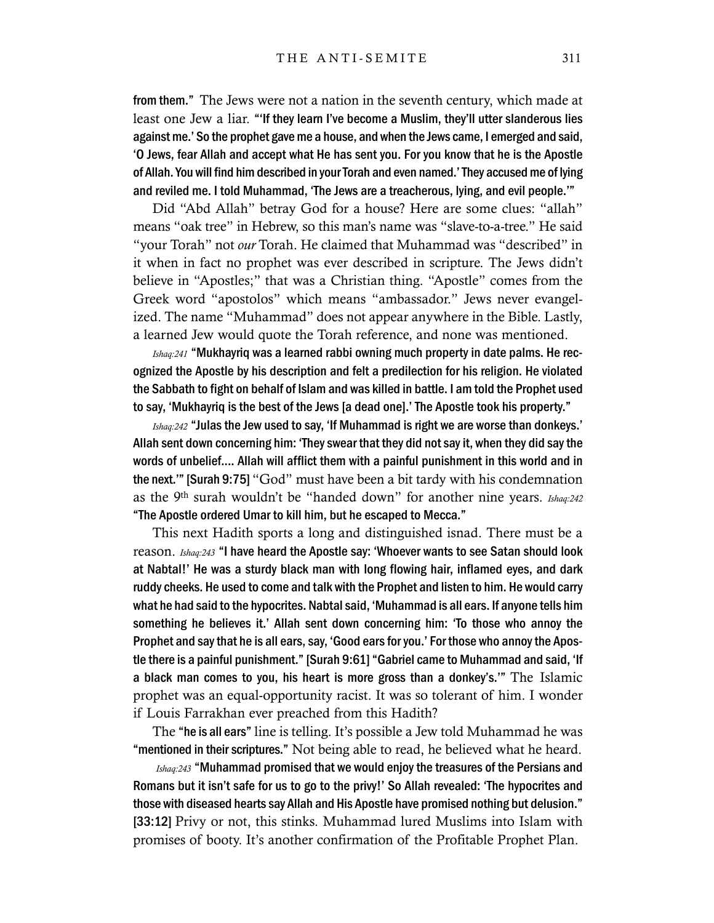from them." The Jews were not a nation in the seventh century, which made at least one Jew a liar. "'If they learn I've become a Muslim, they'll utter slanderous lies against me.' So the prophet gave me a house, and when the Jews came, I emerged and said, 'O Jews, fear Allah and accept what He has sent you. For you know that he is the Apostle of Allah. You will find him described in your Torah and even named.' They accused me of lying and reviled me. I told Muhammad, 'The Jews are a treacherous, lying, and evil people.'"

Did "Abd Allah" betray God for a house? Here are some clues: "allah" means "oak tree" in Hebrew, so this man's name was "slave-to-a-tree." He said "your Torah" not *our* Torah. He claimed that Muhammad was "described" in it when in fact no prophet was ever described in scripture. The Jews didn't believe in "Apostles;" that was a Christian thing. "Apostle" comes from the Greek word "apostolos" which means "ambassador." Jews never evangelized. The name "Muhammad" does not appear anywhere in the Bible. Lastly, a learned Jew would quote the Torah reference, and none was mentioned.

*Ishaq:241* "Mukhayriq was a learned rabbi owning much property in date palms. He recognized the Apostle by his description and felt a predilection for his religion. He violated the Sabbath to fight on behalf of Islam and was killed in battle. I am told the Prophet used to say, 'Mukhayriq is the best of the Jews [a dead one].' The Apostle took his property."

*Ishaq:242* "Julas the Jew used to say, 'If Muhammad is right we are worse than donkeys.' Allah sent down concerning him: 'They swear that they did not say it, when they did say the words of unbelief.... Allah will afflict them with a painful punishment in this world and in the next.'" [Surah 9:75] "God" must have been a bit tardy with his condemnation as the 9th surah wouldn't be "handed down" for another nine years. *Ishaq:242* "The Apostle ordered Umar to kill him, but he escaped to Mecca."

This next Hadith sports a long and distinguished isnad. There must be a reason. *Ishaq:243* "I have heard the Apostle say: 'Whoever wants to see Satan should look at Nabtal!' He was a sturdy black man with long flowing hair, inflamed eyes, and dark ruddy cheeks. He used to come and talk with the Prophet and listen to him. He would carry what he had said to the hypocrites. Nabtal said, 'Muhammad is all ears. If anyone tells him something he believes it.' Allah sent down concerning him: 'To those who annoy the Prophet and say that he is all ears, say, 'Good ears for you.' For those who annoy the Apostle there is a painful punishment." [Surah 9:61] "Gabriel came to Muhammad and said, 'If a black man comes to you, his heart is more gross than a donkey's.'" The Islamic prophet was an equal-opportunity racist. It was so tolerant of him. I wonder if Louis Farrakhan ever preached from this Hadith?

The "he is all ears" line is telling. It's possible a Jew told Muhammad he was "mentioned in their scriptures." Not being able to read, he believed what he heard.

*Ishaq:243* "Muhammad promised that we would enjoy the treasures of the Persians and Romans but it isn't safe for us to go to the privy!' So Allah revealed: 'The hypocrites and those with diseased hearts say Allah and His Apostle have promised nothing but delusion." [33:12] Privy or not, this stinks. Muhammad lured Muslims into Islam with promises of booty. It's another confirmation of the Profitable Prophet Plan.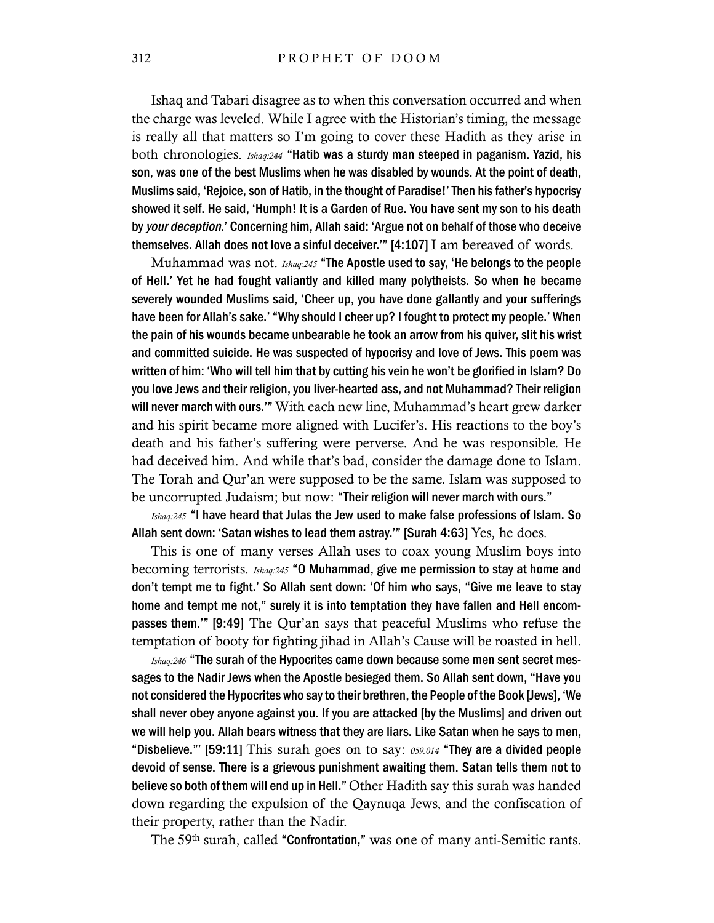Ishaq and Tabari disagree as to when this conversation occurred and when the charge was leveled. While I agree with the Historian's timing, the message is really all that matters so I'm going to cover these Hadith as they arise in both chronologies. *Ishaq:244* "Hatib was a sturdy man steeped in paganism. Yazid, his son, was one of the best Muslims when he was disabled by wounds. At the point of death, Muslims said, 'Rejoice, son of Hatib, in the thought of Paradise!' Then his father's hypocrisy showed it self. He said, 'Humph! It is a Garden of Rue. You have sent my son to his death by your deception.' Concerning him, Allah said: 'Argue not on behalf of those who deceive themselves. Allah does not love a sinful deceiver.'" [4:107] I am bereaved of words.

Muhammad was not. *Ishaq:245* "The Apostle used to say, 'He belongs to the people of Hell.' Yet he had fought valiantly and killed many polytheists. So when he became severely wounded Muslims said, 'Cheer up, you have done gallantly and your sufferings have been for Allah's sake.' "Why should I cheer up? I fought to protect my people.' When the pain of his wounds became unbearable he took an arrow from his quiver, slit his wrist and committed suicide. He was suspected of hypocrisy and love of Jews. This poem was written of him: 'Who will tell him that by cutting his vein he won't be glorified in Islam? Do you love Jews and their religion, you liver-hearted ass, and not Muhammad? Their religion will never march with ours.'" With each new line, Muhammad's heart grew darker and his spirit became more aligned with Lucifer's. His reactions to the boy's death and his father's suffering were perverse. And he was responsible. He had deceived him. And while that's bad, consider the damage done to Islam. The Torah and Qur'an were supposed to be the same. Islam was supposed to be uncorrupted Judaism; but now: "Their religion will never march with ours."

*Ishaq:245* "I have heard that Julas the Jew used to make false professions of Islam. So Allah sent down: 'Satan wishes to lead them astray.'" [Surah 4:63] Yes, he does.

This is one of many verses Allah uses to coax young Muslim boys into becoming terrorists. *Ishaq:245* "O Muhammad, give me permission to stay at home and don't tempt me to fight.' So Allah sent down: 'Of him who says, "Give me leave to stay home and tempt me not," surely it is into temptation they have fallen and Hell encompasses them.'" [9:49] The Qur'an says that peaceful Muslims who refuse the temptation of booty for fighting jihad in Allah's Cause will be roasted in hell.

*Ishaq:246* "The surah of the Hypocrites came down because some men sent secret messages to the Nadir Jews when the Apostle besieged them. So Allah sent down, "Have you not considered the Hypocrites who say to their brethren, the People of the Book [Jews], 'We shall never obey anyone against you. If you are attacked [by the Muslims] and driven out we will help you. Allah bears witness that they are liars. Like Satan when he says to men, "Disbelieve."' [59:11] This surah goes on to say: *059.014* "They are a divided people devoid of sense. There is a grievous punishment awaiting them. Satan tells them not to believe so both of them will end up in Hell." Other Hadith say this surah was handed down regarding the expulsion of the Qaynuqa Jews, and the confiscation of their property, rather than the Nadir.

The 59th surah, called "Confrontation," was one of many anti-Semitic rants.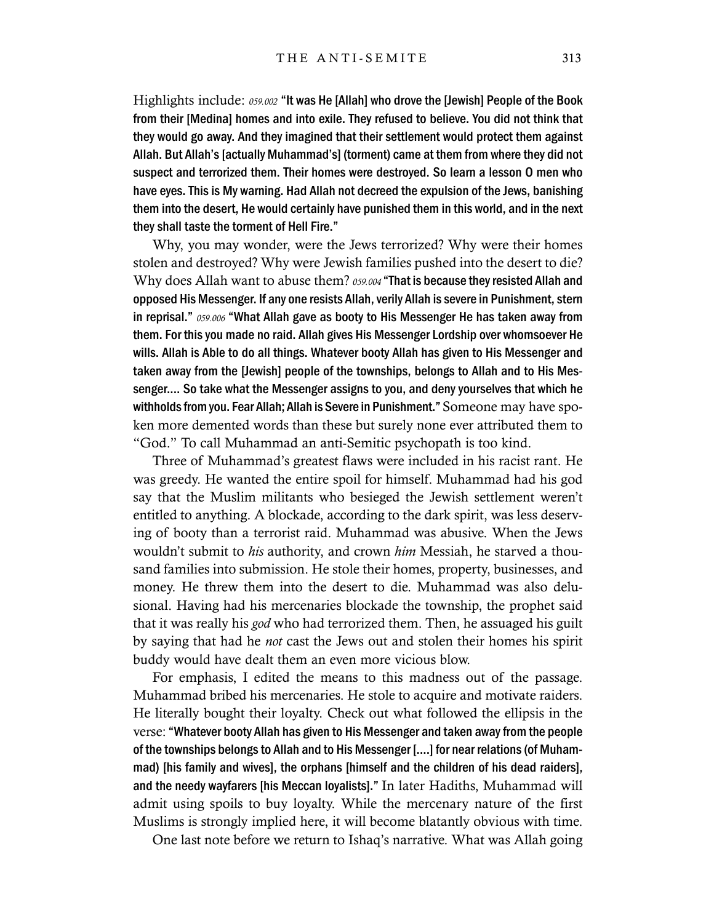Highlights include: *059.002* "It was He [Allah] who drove the [Jewish] People of the Book from their [Medina] homes and into exile. They refused to believe. You did not think that they would go away. And they imagined that their settlement would protect them against Allah. But Allah's [actually Muhammad's] (torment) came at them from where they did not suspect and terrorized them. Their homes were destroyed. So learn a lesson O men who have eyes. This is My warning. Had Allah not decreed the expulsion of the Jews, banishing them into the desert, He would certainly have punished them in this world, and in the next they shall taste the torment of Hell Fire."

Why, you may wonder, were the Jews terrorized? Why were their homes stolen and destroyed? Why were Jewish families pushed into the desert to die? Why does Allah want to abuse them? *059.004* "That is because they resisted Allah and opposed His Messenger. If any one resists Allah, verily Allah is severe in Punishment, stern in reprisal." *059.006* "What Allah gave as booty to His Messenger He has taken away from them. For this you made no raid. Allah gives His Messenger Lordship over whomsoever He wills. Allah is Able to do all things. Whatever booty Allah has given to His Messenger and taken away from the [Jewish] people of the townships, belongs to Allah and to His Messenger.... So take what the Messenger assigns to you, and deny yourselves that which he withholds from you. Fear Allah; Allah is Severe in Punishment." Someone may have spoken more demented words than these but surely none ever attributed them to "God." To call Muhammad an anti-Semitic psychopath is too kind.

Three of Muhammad's greatest flaws were included in his racist rant. He was greedy. He wanted the entire spoil for himself. Muhammad had his god say that the Muslim militants who besieged the Jewish settlement weren't entitled to anything. A blockade, according to the dark spirit, was less deserving of booty than a terrorist raid. Muhammad was abusive. When the Jews wouldn't submit to *his* authority, and crown *him* Messiah, he starved a thousand families into submission. He stole their homes, property, businesses, and money. He threw them into the desert to die. Muhammad was also delusional. Having had his mercenaries blockade the township, the prophet said that it was really his *god* who had terrorized them. Then, he assuaged his guilt by saying that had he *not* cast the Jews out and stolen their homes his spirit buddy would have dealt them an even more vicious blow.

For emphasis, I edited the means to this madness out of the passage. Muhammad bribed his mercenaries. He stole to acquire and motivate raiders. He literally bought their loyalty. Check out what followed the ellipsis in the verse:"Whatever booty Allah has given to His Messenger and taken away from the people of the townships belongs to Allah and to His Messenger [....] for near relations (of Muhammad) [his family and wives], the orphans [himself and the children of his dead raiders], and the needy wayfarers [his Meccan loyalists]." In later Hadiths, Muhammad will admit using spoils to buy loyalty. While the mercenary nature of the first Muslims is strongly implied here, it will become blatantly obvious with time.

One last note before we return to Ishaq's narrative. What was Allah going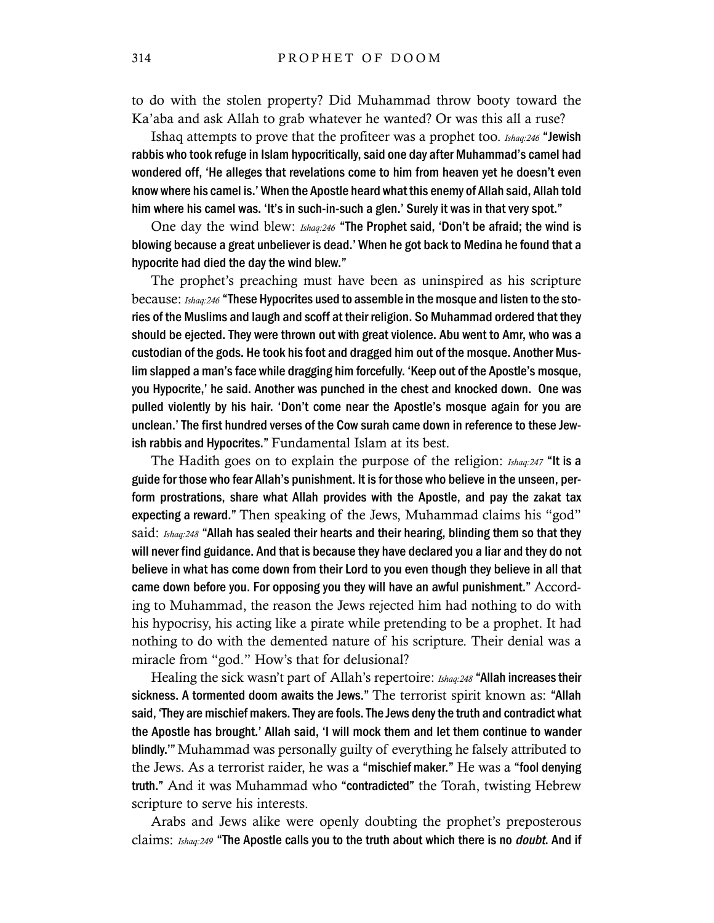to do with the stolen property? Did Muhammad throw booty toward the Ka'aba and ask Allah to grab whatever he wanted? Or was this all a ruse?

Ishaq attempts to prove that the profiteer was a prophet too. *Ishaq:246* "Jewish rabbis who took refuge in Islam hypocritically, said one day after Muhammad's camel had wondered off, 'He alleges that revelations come to him from heaven yet he doesn't even know where his camel is.' When the Apostle heard what this enemy of Allah said, Allah told him where his camel was. 'It's in such-in-such a glen.' Surely it was in that very spot."

One day the wind blew: *Ishaq:246* "The Prophet said, 'Don't be afraid; the wind is blowing because a great unbeliever is dead.' When he got back to Medina he found that a hypocrite had died the day the wind blew."

The prophet's preaching must have been as uninspired as his scripture because: *Ishaq:246* "These Hypocrites used to assemble in the mosque and listen to the stories of the Muslims and laugh and scoff at their religion. So Muhammad ordered that they should be ejected. They were thrown out with great violence. Abu went to Amr, who was a custodian of the gods. He took his foot and dragged him out of the mosque. Another Muslim slapped a man's face while dragging him forcefully. 'Keep out of the Apostle's mosque, you Hypocrite,' he said. Another was punched in the chest and knocked down. One was pulled violently by his hair. 'Don't come near the Apostle's mosque again for you are unclean.' The first hundred verses of the Cow surah came down in reference to these Jewish rabbis and Hypocrites." Fundamental Islam at its best.

The Hadith goes on to explain the purpose of the religion: *Ishaq:247* "It is a guide for those who fear Allah's punishment. It is for those who believe in the unseen, perform prostrations, share what Allah provides with the Apostle, and pay the zakat tax expecting a reward." Then speaking of the Jews, Muhammad claims his "god" said: *Ishaq:248* "Allah has sealed their hearts and their hearing, blinding them so that they will never find guidance. And that is because they have declared you a liar and they do not believe in what has come down from their Lord to you even though they believe in all that came down before you. For opposing you they will have an awful punishment." According to Muhammad, the reason the Jews rejected him had nothing to do with his hypocrisy, his acting like a pirate while pretending to be a prophet. It had nothing to do with the demented nature of his scripture. Their denial was a miracle from "god." How's that for delusional?

Healing the sick wasn't part of Allah's repertoire: *Ishaq:248* "Allah increases their sickness. A tormented doom awaits the Jews." The terrorist spirit known as: "Allah said, 'They are mischief makers. They are fools. The Jews deny the truth and contradict what the Apostle has brought.' Allah said, 'I will mock them and let them continue to wander blindly.'" Muhammad was personally guilty of everything he falsely attributed to the Jews. As a terrorist raider, he was a "mischief maker." He was a "fool denying truth." And it was Muhammad who "contradicted" the Torah, twisting Hebrew scripture to serve his interests.

Arabs and Jews alike were openly doubting the prophet's preposterous claims: *Ishaq:249* "The Apostle calls you to the truth about which there is no doubt. And if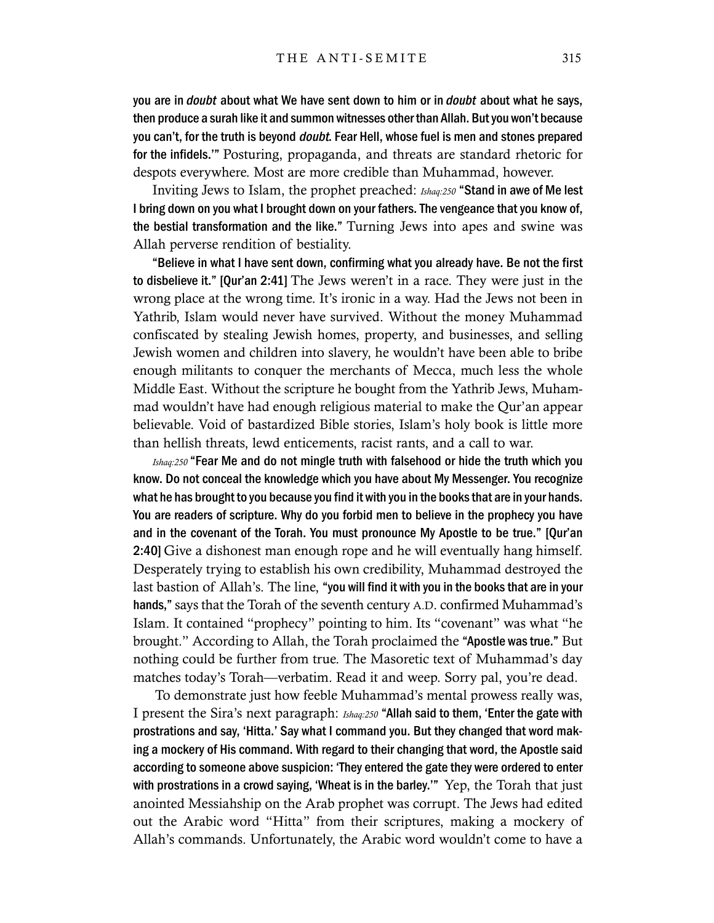you are in *doubt* about what We have sent down to him or in *doubt* about what he says, then produce a surah like it and summon witnesses other than Allah. But you won't because you can't, for the truth is beyond *doubt*. Fear Hell, whose fuel is men and stones prepared for the infidels.'" Posturing, propaganda, and threats are standard rhetoric for despots everywhere. Most are more credible than Muhammad, however.

Inviting Jews to Islam, the prophet preached: *Ishaq:250* "Stand in awe of Me lest I bring down on you what I brought down on your fathers. The vengeance that you know of, the bestial transformation and the like." Turning Jews into apes and swine was Allah perverse rendition of bestiality.

"Believe in what I have sent down, confirming what you already have. Be not the first to disbelieve it." [Qur'an 2:41] The Jews weren't in a race. They were just in the wrong place at the wrong time. It's ironic in a way. Had the Jews not been in Yathrib, Islam would never have survived. Without the money Muhammad confiscated by stealing Jewish homes, property, and businesses, and selling Jewish women and children into slavery, he wouldn't have been able to bribe enough militants to conquer the merchants of Mecca, much less the whole Middle East. Without the scripture he bought from the Yathrib Jews, Muhammad wouldn't have had enough religious material to make the Qur'an appear believable. Void of bastardized Bible stories, Islam's holy book is little more than hellish threats, lewd enticements, racist rants, and a call to war.

*Ishaq:250* "Fear Me and do not mingle truth with falsehood or hide the truth which you know. Do not conceal the knowledge which you have about My Messenger. You recognize what he has brought to you because you find it with you in the books that are in your hands. You are readers of scripture. Why do you forbid men to believe in the prophecy you have and in the covenant of the Torah. You must pronounce My Apostle to be true." [Qur'an 2:40] Give a dishonest man enough rope and he will eventually hang himself. Desperately trying to establish his own credibility, Muhammad destroyed the last bastion of Allah's. The line, "you will find it with you in the books that are in your hands," says that the Torah of the seventh century A.D. confirmed Muhammad's Islam. It contained "prophecy" pointing to him. Its "covenant" was what "he brought." According to Allah, the Torah proclaimed the "Apostle was true." But nothing could be further from true. The Masoretic text of Muhammad's day matches today's Torah—verbatim. Read it and weep. Sorry pal, you're dead.

To demonstrate just how feeble Muhammad's mental prowess really was, I present the Sira's next paragraph: *Ishaq:250* "Allah said to them, 'Enter the gate with prostrations and say, 'Hitta.' Say what I command you. But they changed that word making a mockery of His command. With regard to their changing that word, the Apostle said according to someone above suspicion: 'They entered the gate they were ordered to enter with prostrations in a crowd saying, 'Wheat is in the barley.'" Yep, the Torah that just anointed Messiahship on the Arab prophet was corrupt. The Jews had edited out the Arabic word "Hitta" from their scriptures, making a mockery of Allah's commands. Unfortunately, the Arabic word wouldn't come to have a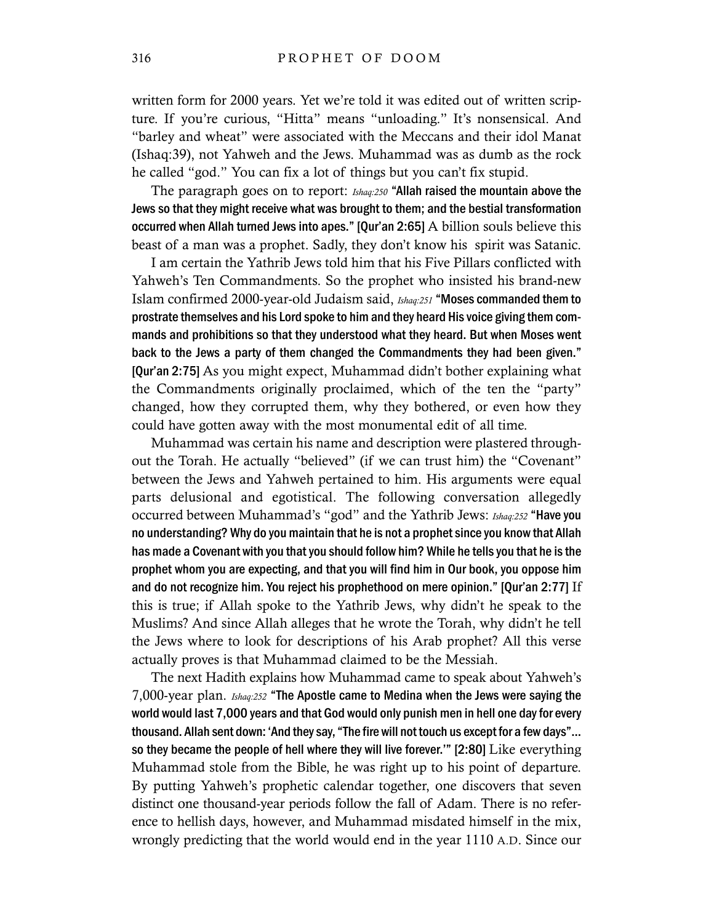written form for 2000 years. Yet we're told it was edited out of written scripture. If you're curious, "Hitta" means "unloading." It's nonsensical. And "barley and wheat" were associated with the Meccans and their idol Manat (Ishaq:39), not Yahweh and the Jews. Muhammad was as dumb as the rock he called "god." You can fix a lot of things but you can't fix stupid.

The paragraph goes on to report: *Ishaq:250* "Allah raised the mountain above the Jews so that they might receive what was brought to them; and the bestial transformation occurred when Allah turned Jews into apes." [Qur'an 2:65] A billion souls believe this beast of a man was a prophet. Sadly, they don't know his spirit was Satanic.

I am certain the Yathrib Jews told him that his Five Pillars conflicted with Yahweh's Ten Commandments. So the prophet who insisted his brand-new Islam confirmed 2000-year-old Judaism said, *Ishaq:251* "Moses commanded them to prostrate themselves and his Lord spoke to him and they heard His voice giving them commands and prohibitions so that they understood what they heard. But when Moses went back to the Jews a party of them changed the Commandments they had been given." [Qur'an 2:75] As you might expect, Muhammad didn't bother explaining what the Commandments originally proclaimed, which of the ten the "party" changed, how they corrupted them, why they bothered, or even how they could have gotten away with the most monumental edit of all time.

Muhammad was certain his name and description were plastered throughout the Torah. He actually "believed" (if we can trust him) the "Covenant" between the Jews and Yahweh pertained to him. His arguments were equal parts delusional and egotistical. The following conversation allegedly occurred between Muhammad's "god" and the Yathrib Jews: *Ishaq:252* "Have you no understanding? Why do you maintain that he is not a prophet since you know that Allah has made a Covenant with you that you should follow him? While he tells you that he is the prophet whom you are expecting, and that you will find him in Our book, you oppose him and do not recognize him. You reject his prophethood on mere opinion." [Qur'an 2:77] If this is true; if Allah spoke to the Yathrib Jews, why didn't he speak to the Muslims? And since Allah alleges that he wrote the Torah, why didn't he tell the Jews where to look for descriptions of his Arab prophet? All this verse actually proves is that Muhammad claimed to be the Messiah.

The next Hadith explains how Muhammad came to speak about Yahweh's 7,000-year plan. *Ishaq:252* "The Apostle came to Medina when the Jews were saying the world would last 7,000 years and that God would only punish men in hell one day for every thousand. Allah sent down: 'And they say, "The fire will not touch us except for a few days"... so they became the people of hell where they will live forever.'" [2:80] Like everything Muhammad stole from the Bible, he was right up to his point of departure. By putting Yahweh's prophetic calendar together, one discovers that seven distinct one thousand-year periods follow the fall of Adam. There is no reference to hellish days, however, and Muhammad misdated himself in the mix, wrongly predicting that the world would end in the year 1110 A.D. Since our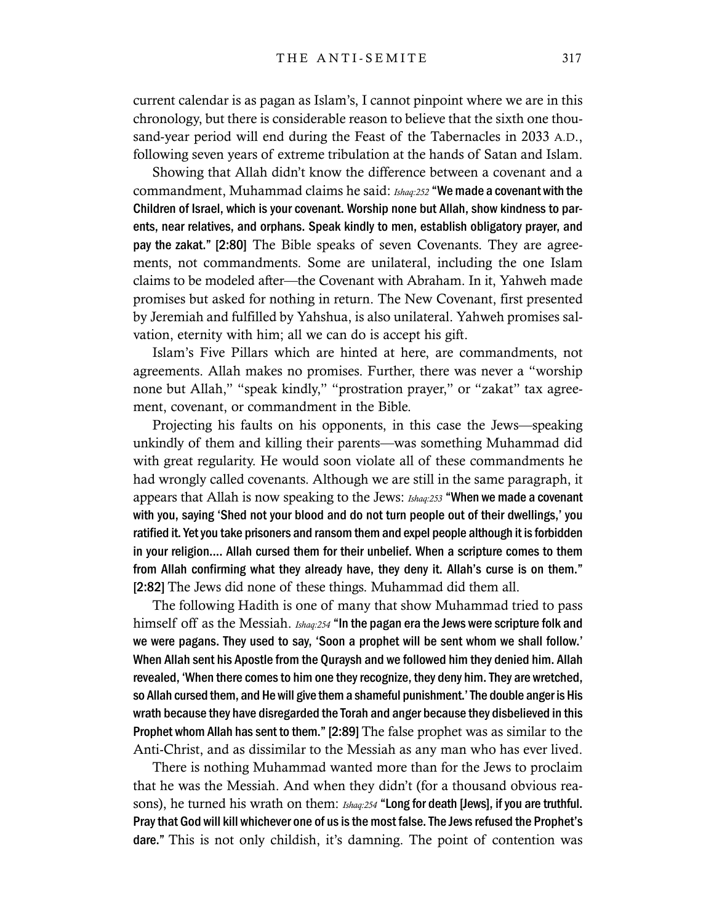current calendar is as pagan as Islam's, I cannot pinpoint where we are in this chronology, but there is considerable reason to believe that the sixth one thousand-year period will end during the Feast of the Tabernacles in 2033 A.D., following seven years of extreme tribulation at the hands of Satan and Islam.

Showing that Allah didn't know the difference between a covenant and a commandment, Muhammad claims he said: *Ishaq:252* "We made a covenant with the Children of Israel, which is your covenant. Worship none but Allah, show kindness to parents, near relatives, and orphans. Speak kindly to men, establish obligatory prayer, and pay the zakat." [2:80] The Bible speaks of seven Covenants. They are agreements, not commandments. Some are unilateral, including the one Islam claims to be modeled after—the Covenant with Abraham. In it, Yahweh made promises but asked for nothing in return. The New Covenant, first presented by Jeremiah and fulfilled by Yahshua, is also unilateral. Yahweh promises salvation, eternity with him; all we can do is accept his gift.

Islam's Five Pillars which are hinted at here, are commandments, not agreements. Allah makes no promises. Further, there was never a "worship none but Allah," "speak kindly," "prostration prayer," or "zakat" tax agreement, covenant, or commandment in the Bible.

Projecting his faults on his opponents, in this case the Jews—speaking unkindly of them and killing their parents—was something Muhammad did with great regularity. He would soon violate all of these commandments he had wrongly called covenants. Although we are still in the same paragraph, it appears that Allah is now speaking to the Jews: *Ishaq:253* "When we made a covenant with you, saying 'Shed not your blood and do not turn people out of their dwellings,' you ratified it. Yet you take prisoners and ransom them and expel people although it is forbidden in your religion.... Allah cursed them for their unbelief. When a scripture comes to them from Allah confirming what they already have, they deny it. Allah's curse is on them." [2:82] The Jews did none of these things. Muhammad did them all.

The following Hadith is one of many that show Muhammad tried to pass himself off as the Messiah. *Ishaq:254* "In the pagan era the Jews were scripture folk and we were pagans. They used to say, 'Soon a prophet will be sent whom we shall follow.' When Allah sent his Apostle from the Quraysh and we followed him they denied him. Allah revealed, 'When there comes to him one they recognize, they deny him. They are wretched, so Allah cursed them, and He will give them a shameful punishment.' The double anger is His wrath because they have disregarded the Torah and anger because they disbelieved in this Prophet whom Allah has sent to them." [2:89] The false prophet was as similar to the Anti-Christ, and as dissimilar to the Messiah as any man who has ever lived.

There is nothing Muhammad wanted more than for the Jews to proclaim that he was the Messiah. And when they didn't (for a thousand obvious reasons), he turned his wrath on them: *Ishaq:254* "Long for death [Jews], if you are truthful. Pray that God will kill whichever one of us is the most false. The Jews refused the Prophet's dare." This is not only childish, it's damning. The point of contention was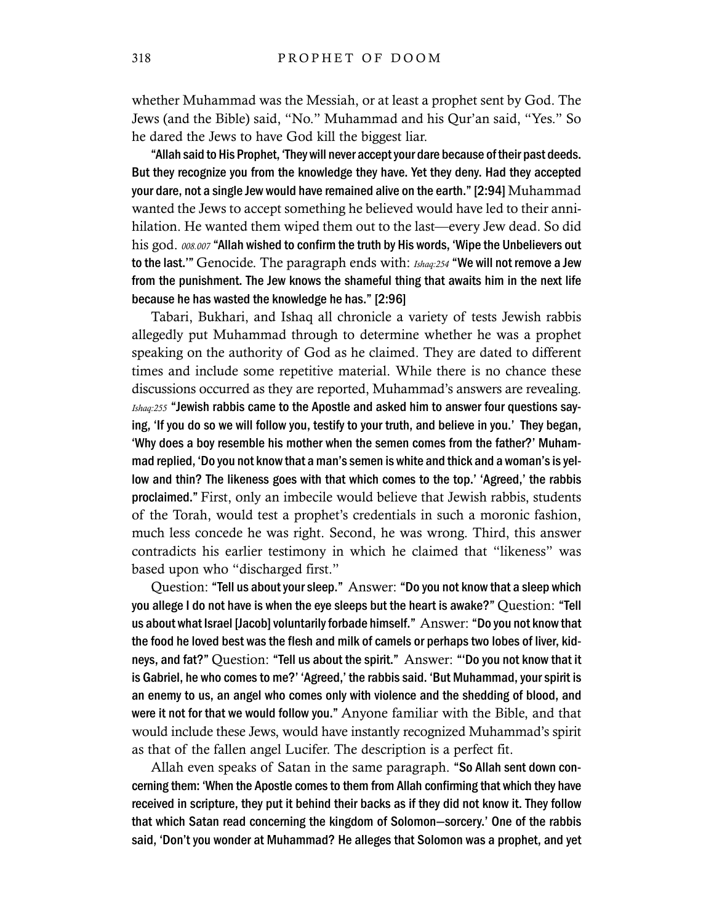whether Muhammad was the Messiah, or at least a prophet sent by God. The Jews (and the Bible) said, "No." Muhammad and his Qur'an said, "Yes." So he dared the Jews to have God kill the biggest liar.

"Allah said to His Prophet, 'They will never accept your dare because of their past deeds. But they recognize you from the knowledge they have. Yet they deny. Had they accepted your dare, not a single Jew would have remained alive on the earth." [2:94] Muhammad wanted the Jews to accept something he believed would have led to their annihilation. He wanted them wiped them out to the last—every Jew dead. So did his god.  $008.007$  "Allah wished to confirm the truth by His words, 'Wipe the Unbelievers out to the last.'" Genocide. The paragraph ends with: *Ishaq:254* "We will not remove a Jew from the punishment. The Jew knows the shameful thing that awaits him in the next life because he has wasted the knowledge he has." [2:96]

Tabari, Bukhari, and Ishaq all chronicle a variety of tests Jewish rabbis allegedly put Muhammad through to determine whether he was a prophet speaking on the authority of God as he claimed. They are dated to different times and include some repetitive material. While there is no chance these discussions occurred as they are reported, Muhammad's answers are revealing. *Ishaq:255* "Jewish rabbis came to the Apostle and asked him to answer four questions saying, 'If you do so we will follow you, testify to your truth, and believe in you.' They began, 'Why does a boy resemble his mother when the semen comes from the father?' Muhammad replied, 'Do you not know that a man's semen is white and thick and a woman's is yellow and thin? The likeness goes with that which comes to the top.' 'Agreed,' the rabbis proclaimed." First, only an imbecile would believe that Jewish rabbis, students of the Torah, would test a prophet's credentials in such a moronic fashion, much less concede he was right. Second, he was wrong. Third, this answer contradicts his earlier testimony in which he claimed that "likeness" was based upon who "discharged first."

Question: "Tell us about your sleep." Answer: "Do you not know that a sleep which you allege I do not have is when the eye sleeps but the heart is awake?" Question: "Tell us about what Israel [Jacob] voluntarily forbade himself." Answer: "Do you not know that the food he loved best was the flesh and milk of camels or perhaps two lobes of liver, kidneys, and fat?" Question: "Tell us about the spirit." Answer: "'Do you not know that it is Gabriel, he who comes to me?' 'Agreed,' the rabbis said. 'But Muhammad, your spirit is an enemy to us, an angel who comes only with violence and the shedding of blood, and were it not for that we would follow you." Anyone familiar with the Bible, and that would include these Jews, would have instantly recognized Muhammad's spirit as that of the fallen angel Lucifer. The description is a perfect fit.

Allah even speaks of Satan in the same paragraph. "So Allah sent down concerning them: 'When the Apostle comes to them from Allah confirming that which they have received in scripture, they put it behind their backs as if they did not know it. They follow that which Satan read concerning the kingdom of Solomon—sorcery.' One of the rabbis said, 'Don't you wonder at Muhammad? He alleges that Solomon was a prophet, and yet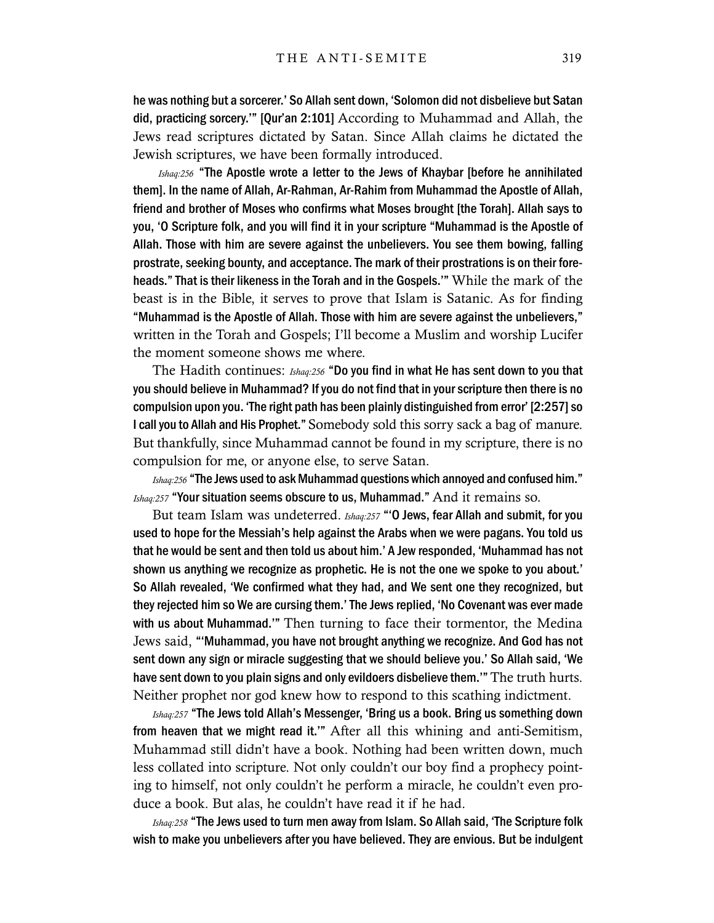he was nothing but a sorcerer.' So Allah sent down, 'Solomon did not disbelieve but Satan did, practicing sorcery.'" [Qur'an 2:101] According to Muhammad and Allah, the Jews read scriptures dictated by Satan. Since Allah claims he dictated the Jewish scriptures, we have been formally introduced.

*Ishaq:256* "The Apostle wrote a letter to the Jews of Khaybar [before he annihilated them]. In the name of Allah, Ar-Rahman, Ar-Rahim from Muhammad the Apostle of Allah, friend and brother of Moses who confirms what Moses brought [the Torah]. Allah says to you, 'O Scripture folk, and you will find it in your scripture "Muhammad is the Apostle of Allah. Those with him are severe against the unbelievers. You see them bowing, falling prostrate, seeking bounty, and acceptance. The mark of their prostrations is on their foreheads." That is their likeness in the Torah and in the Gospels.'" While the mark of the beast is in the Bible, it serves to prove that Islam is Satanic. As for finding "Muhammad is the Apostle of Allah. Those with him are severe against the unbelievers," written in the Torah and Gospels; I'll become a Muslim and worship Lucifer the moment someone shows me where.

The Hadith continues: *Ishaq:256* "Do you find in what He has sent down to you that you should believe in Muhammad? If you do not find that in your scripture then there is no compulsion upon you. 'The right path has been plainly distinguished from error' [2:257] so I call you to Allah and His Prophet." Somebody sold this sorry sack a bag of manure. But thankfully, since Muhammad cannot be found in my scripture, there is no compulsion for me, or anyone else, to serve Satan.

*Ishaq:256* "The Jews used to ask Muhammad questions which annoyed and confused him." *Ishaq:257* "Your situation seems obscure to us, Muhammad." And it remains so.

But team Islam was undeterred. *Ishaq:257* "'O Jews, fear Allah and submit, for you used to hope for the Messiah's help against the Arabs when we were pagans. You told us that he would be sent and then told us about him.' A Jew responded, 'Muhammad has not shown us anything we recognize as prophetic. He is not the one we spoke to you about.' So Allah revealed, 'We confirmed what they had, and We sent one they recognized, but they rejected him so We are cursing them.' The Jews replied, 'No Covenant was ever made with us about Muhammad.'" Then turning to face their tormentor, the Medina Jews said, "'Muhammad, you have not brought anything we recognize. And God has not sent down any sign or miracle suggesting that we should believe you.' So Allah said, 'We have sent down to you plain signs and only evildoers disbelieve them.'" The truth hurts. Neither prophet nor god knew how to respond to this scathing indictment.

*Ishaq:257* "The Jews told Allah's Messenger, 'Bring us a book. Bring us something down from heaven that we might read it.'" After all this whining and anti-Semitism, Muhammad still didn't have a book. Nothing had been written down, much less collated into scripture. Not only couldn't our boy find a prophecy pointing to himself, not only couldn't he perform a miracle, he couldn't even produce a book. But alas, he couldn't have read it if he had.

*Ishaq:258* "The Jews used to turn men away from Islam. So Allah said, 'The Scripture folk wish to make you unbelievers after you have believed. They are envious. But be indulgent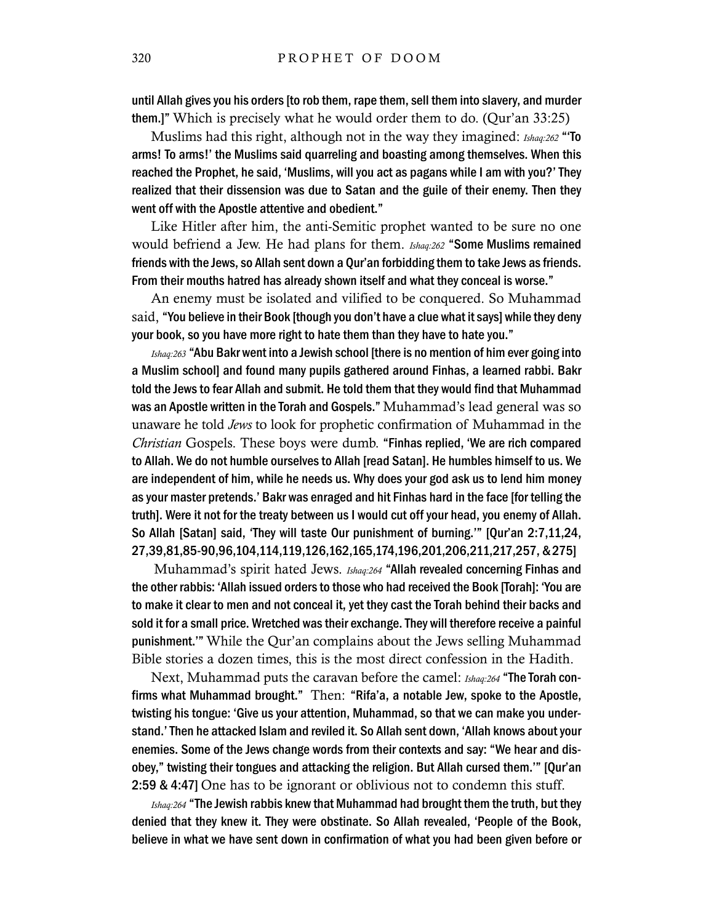until Allah gives you his orders [to rob them, rape them, sell them into slavery, and murder them.]" Which is precisely what he would order them to do. (Qur'an 33:25)

Muslims had this right, although not in the way they imagined: *Ishaq:262* "'To arms! To arms!' the Muslims said quarreling and boasting among themselves. When this reached the Prophet, he said, 'Muslims, will you act as pagans while I am with you?' They realized that their dissension was due to Satan and the guile of their enemy. Then they went off with the Apostle attentive and obedient."

Like Hitler after him, the anti-Semitic prophet wanted to be sure no one would befriend a Jew. He had plans for them. *Ishaq:262* "Some Muslims remained friends with the Jews, so Allah sent down a Qur'an forbidding them to take Jews as friends. From their mouths hatred has already shown itself and what they conceal is worse."

An enemy must be isolated and vilified to be conquered. So Muhammad said, "You believe in their Book [though you don't have a clue what it says] while they deny your book, so you have more right to hate them than they have to hate you."

*Ishaq:263* "Abu Bakr went into a Jewish school [there is no mention of him ever going into a Muslim school] and found many pupils gathered around Finhas, a learned rabbi. Bakr told the Jews to fear Allah and submit. He told them that they would find that Muhammad was an Apostle written in the Torah and Gospels." Muhammad's lead general was so unaware he told *Jews* to look for prophetic confirmation of Muhammad in the *Christian* Gospels. These boys were dumb. "Finhas replied, 'We are rich compared to Allah. We do not humble ourselves to Allah [read Satan]. He humbles himself to us. We are independent of him, while he needs us. Why does your god ask us to lend him money as your master pretends.' Bakr was enraged and hit Finhas hard in the face [for telling the truth]. Were it not for the treaty between us I would cut off your head, you enemy of Allah. So Allah [Satan] said, 'They will taste Our punishment of burning.'" [Qur'an 2:7,11,24, 27,39,81,85-90,96,104,114,119,126,162,165,174,196,201,206,211,217,257, & 275]

Muhammad's spirit hated Jews. *Ishaq:264* "Allah revealed concerning Finhas and the other rabbis: 'Allah issued orders to those who had received the Book [Torah]: 'You are to make it clear to men and not conceal it, yet they cast the Torah behind their backs and sold it for a small price. Wretched was their exchange. They will therefore receive a painful punishment.'" While the Qur'an complains about the Jews selling Muhammad Bible stories a dozen times, this is the most direct confession in the Hadith.

Next, Muhammad puts the caravan before the camel: *Ishaq:264* "The Torah confirms what Muhammad brought." Then: "Rifa'a, a notable Jew, spoke to the Apostle, twisting his tongue: 'Give us your attention, Muhammad, so that we can make you understand.' Then he attacked Islam and reviled it. So Allah sent down, 'Allah knows about your enemies. Some of the Jews change words from their contexts and say: "We hear and disobey," twisting their tongues and attacking the religion. But Allah cursed them.'" [Qur'an 2:59 & 4:47] One has to be ignorant or oblivious not to condemn this stuff.

*Ishaq:264* "The Jewish rabbis knew that Muhammad had brought them the truth, but they denied that they knew it. They were obstinate. So Allah revealed, 'People of the Book, believe in what we have sent down in confirmation of what you had been given before or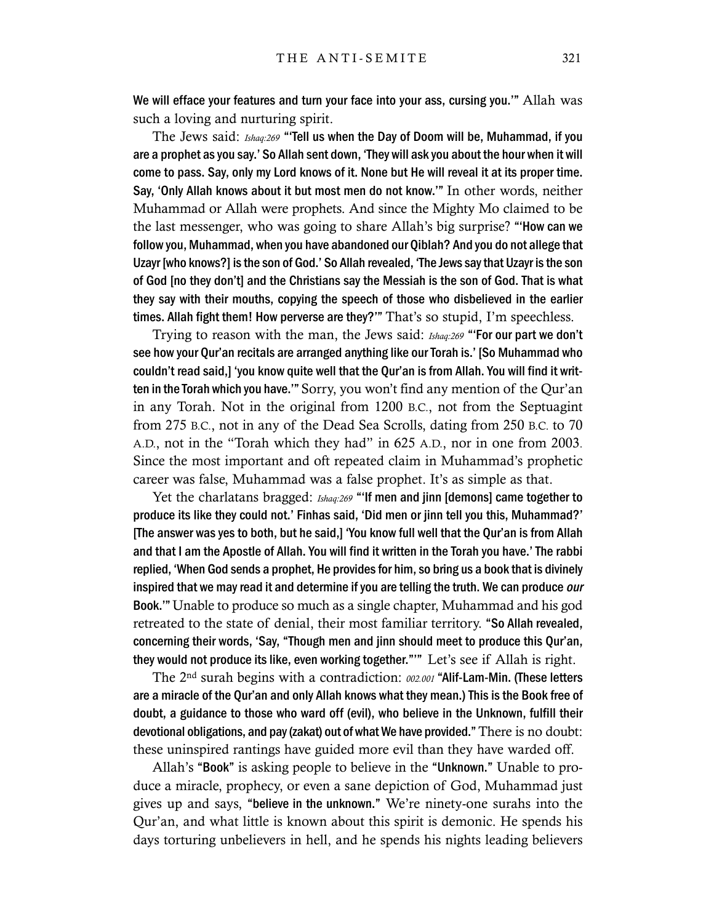We will efface your features and turn your face into your ass, cursing you." Allah was such a loving and nurturing spirit.

The Jews said: *Ishaq:269* "'Tell us when the Day of Doom will be, Muhammad, if you are a prophet as you say.' So Allah sent down, 'They will ask you about the hour when it will come to pass. Say, only my Lord knows of it. None but He will reveal it at its proper time. Say, 'Only Allah knows about it but most men do not know.'" In other words, neither Muhammad or Allah were prophets. And since the Mighty Mo claimed to be the last messenger, who was going to share Allah's big surprise? "'How can we follow you, Muhammad, when you have abandoned our Qiblah? And you do not allege that Uzayr [who knows?] is the son of God.' So Allah revealed, 'The Jews say that Uzayr is the son of God [no they don't] and the Christians say the Messiah is the son of God. That is what they say with their mouths, copying the speech of those who disbelieved in the earlier times. Allah fight them! How perverse are they?'" That's so stupid, I'm speechless.

Trying to reason with the man, the Jews said: *Ishaq:269* "'For our part we don't see how your Qur'an recitals are arranged anything like our Torah is.' [So Muhammad who couldn't read said,] 'you know quite well that the Qur'an is from Allah. You will find it written in the Torah which you have.'" Sorry, you won't find any mention of the Qur'an in any Torah. Not in the original from 1200 B.C., not from the Septuagint from 275 B.C., not in any of the Dead Sea Scrolls, dating from 250 B.C. to 70 A.D., not in the "Torah which they had" in 625 A.D., nor in one from 2003. Since the most important and oft repeated claim in Muhammad's prophetic career was false, Muhammad was a false prophet. It's as simple as that.

Yet the charlatans bragged: *Ishaq:269* "'If men and jinn [demons] came together to produce its like they could not.' Finhas said, 'Did men or jinn tell you this, Muhammad?' [The answer was yes to both, but he said,] 'You know full well that the Qur'an is from Allah and that I am the Apostle of Allah. You will find it written in the Torah you have.' The rabbi replied, 'When God sends a prophet, He provides for him, so bring us a book that is divinely inspired that we may read it and determine if you are telling the truth. We can produce our Book.'" Unable to produce so much as a single chapter, Muhammad and his god retreated to the state of denial, their most familiar territory. "So Allah revealed, concerning their words, 'Say, "Though men and jinn should meet to produce this Qur'an, they would not produce its like, even working together."'" Let's see if Allah is right.

The 2nd surah begins with a contradiction: *002.001* "Alif-Lam-Min. (These letters are a miracle of the Qur'an and only Allah knows what they mean.) This is the Book free of doubt, a guidance to those who ward off (evil), who believe in the Unknown, fulfill their devotional obligations, and pay (zakat) out of what We have provided." There is no doubt: these uninspired rantings have guided more evil than they have warded off.

Allah's "Book" is asking people to believe in the "Unknown." Unable to produce a miracle, prophecy, or even a sane depiction of God, Muhammad just gives up and says, "believe in the unknown." We're ninety-one surahs into the Qur'an, and what little is known about this spirit is demonic. He spends his days torturing unbelievers in hell, and he spends his nights leading believers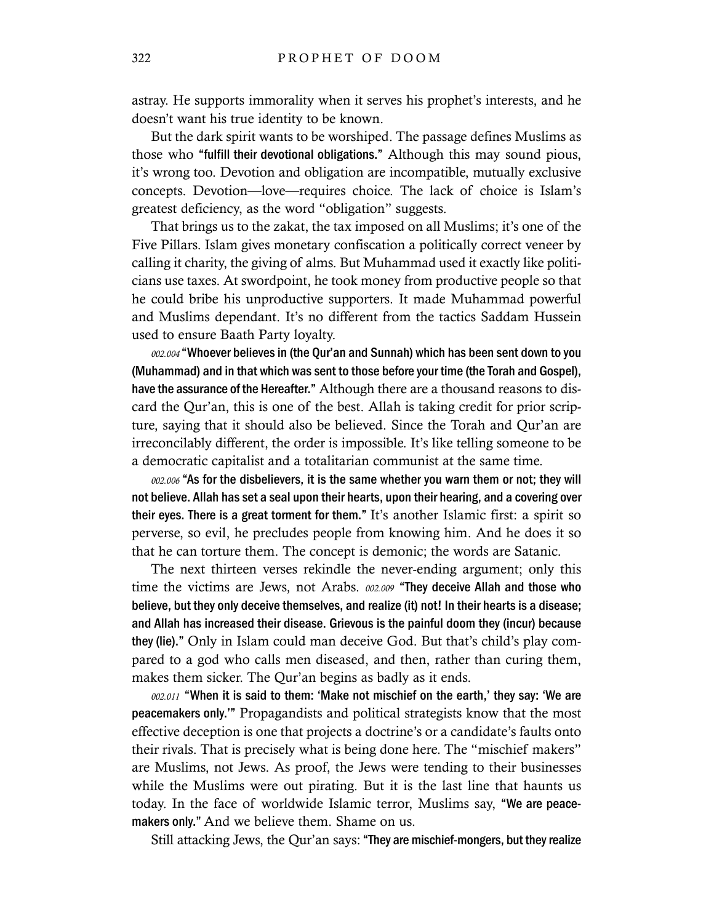astray. He supports immorality when it serves his prophet's interests, and he doesn't want his true identity to be known.

But the dark spirit wants to be worshiped. The passage defines Muslims as those who "fulfill their devotional obligations." Although this may sound pious, it's wrong too. Devotion and obligation are incompatible, mutually exclusive concepts. Devotion—love—requires choice. The lack of choice is Islam's greatest deficiency, as the word "obligation" suggests.

That brings us to the zakat, the tax imposed on all Muslims; it's one of the Five Pillars. Islam gives monetary confiscation a politically correct veneer by calling it charity, the giving of alms. But Muhammad used it exactly like politicians use taxes. At swordpoint, he took money from productive people so that he could bribe his unproductive supporters. It made Muhammad powerful and Muslims dependant. It's no different from the tactics Saddam Hussein used to ensure Baath Party loyalty.

*002.004* "Whoever believes in (the Qur'an and Sunnah) which has been sent down to you (Muhammad) and in that which was sent to those before your time (the Torah and Gospel), have the assurance of the Hereafter." Although there are a thousand reasons to discard the Qur'an, this is one of the best. Allah is taking credit for prior scripture, saying that it should also be believed. Since the Torah and Qur'an are irreconcilably different, the order is impossible. It's like telling someone to be a democratic capitalist and a totalitarian communist at the same time.

*002.006* "As for the disbelievers, it is the same whether you warn them or not; they will not believe. Allah has set a seal upon their hearts, upon their hearing, and a covering over their eyes. There is a great torment for them." It's another Islamic first: a spirit so perverse, so evil, he precludes people from knowing him. And he does it so that he can torture them. The concept is demonic; the words are Satanic.

The next thirteen verses rekindle the never-ending argument; only this time the victims are Jews, not Arabs. *002.009* "They deceive Allah and those who believe, but they only deceive themselves, and realize (it) not! In their hearts is a disease; and Allah has increased their disease. Grievous is the painful doom they (incur) because they (lie)." Only in Islam could man deceive God. But that's child's play compared to a god who calls men diseased, and then, rather than curing them, makes them sicker. The Qur'an begins as badly as it ends.

*002.011* "When it is said to them: 'Make not mischief on the earth,' they say: 'We are peacemakers only.'" Propagandists and political strategists know that the most effective deception is one that projects a doctrine's or a candidate's faults onto their rivals. That is precisely what is being done here. The "mischief makers" are Muslims, not Jews. As proof, the Jews were tending to their businesses while the Muslims were out pirating. But it is the last line that haunts us today. In the face of worldwide Islamic terror, Muslims say, "We are peacemakers only." And we believe them. Shame on us.

Still attacking Jews, the Qur'an says: "They are mischief-mongers, but they realize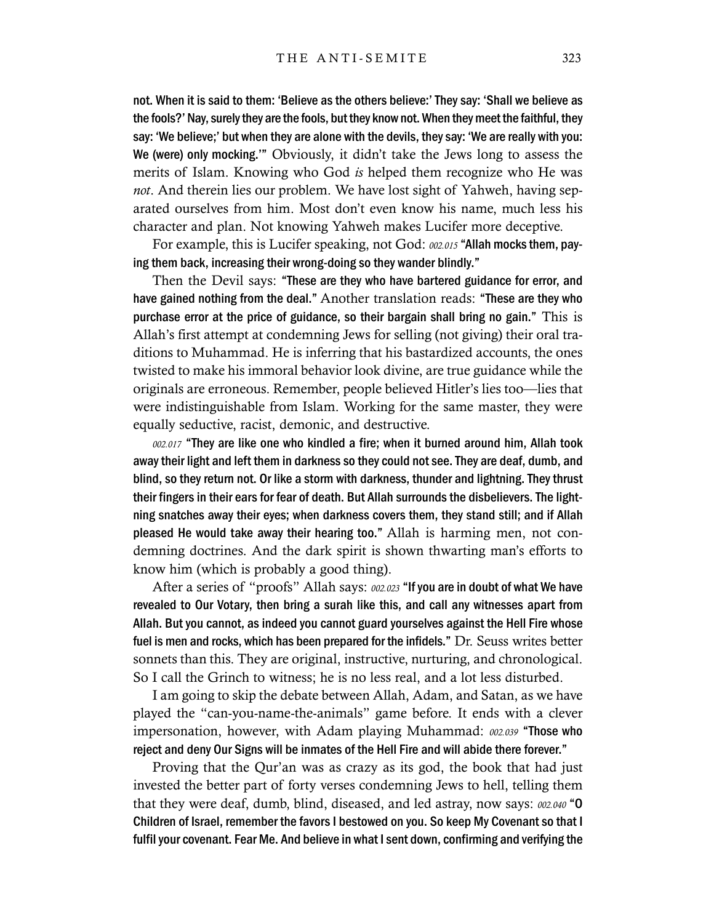not. When it is said to them: 'Believe as the others believe:' They say: 'Shall we believe as the fools?' Nay, surely they are the fools, but they know not. When they meet the faithful, they say: 'We believe;' but when they are alone with the devils, they say: 'We are really with you: We (were) only mocking.'" Obviously, it didn't take the Jews long to assess the merits of Islam. Knowing who God *is* helped them recognize who He was *not*. And therein lies our problem. We have lost sight of Yahweh, having separated ourselves from him. Most don't even know his name, much less his character and plan. Not knowing Yahweh makes Lucifer more deceptive.

For example, this is Lucifer speaking, not God: *002.015* "Allah mocks them, paying them back, increasing their wrong-doing so they wander blindly."

Then the Devil says: "These are they who have bartered guidance for error, and have gained nothing from the deal." Another translation reads: "These are they who purchase error at the price of guidance, so their bargain shall bring no gain." This is Allah's first attempt at condemning Jews for selling (not giving) their oral traditions to Muhammad. He is inferring that his bastardized accounts, the ones twisted to make his immoral behavior look divine, are true guidance while the originals are erroneous. Remember, people believed Hitler's lies too—lies that were indistinguishable from Islam. Working for the same master, they were equally seductive, racist, demonic, and destructive.

*002.017* "They are like one who kindled a fire; when it burned around him, Allah took away their light and left them in darkness so they could not see. They are deaf, dumb, and blind, so they return not. Or like a storm with darkness, thunder and lightning. They thrust their fingers in their ears for fear of death. But Allah surrounds the disbelievers. The lightning snatches away their eyes; when darkness covers them, they stand still; and if Allah pleased He would take away their hearing too." Allah is harming men, not condemning doctrines. And the dark spirit is shown thwarting man's efforts to know him (which is probably a good thing).

After a series of "proofs" Allah says: *002.023* "If you are in doubt of what We have revealed to Our Votary, then bring a surah like this, and call any witnesses apart from Allah. But you cannot, as indeed you cannot guard yourselves against the Hell Fire whose fuel is men and rocks, which has been prepared for the infidels." Dr. Seuss writes better sonnets than this. They are original, instructive, nurturing, and chronological. So I call the Grinch to witness; he is no less real, and a lot less disturbed.

I am going to skip the debate between Allah, Adam, and Satan, as we have played the "can-you-name-the-animals" game before. It ends with a clever impersonation, however, with Adam playing Muhammad: *002.039* "Those who reject and deny Our Signs will be inmates of the Hell Fire and will abide there forever."

Proving that the Qur'an was as crazy as its god, the book that had just invested the better part of forty verses condemning Jews to hell, telling them that they were deaf, dumb, blind, diseased, and led astray, now says: *002.040* "O Children of Israel, remember the favors I bestowed on you. So keep My Covenant so that I fulfil your covenant. Fear Me. And believe in what I sent down, confirming and verifying the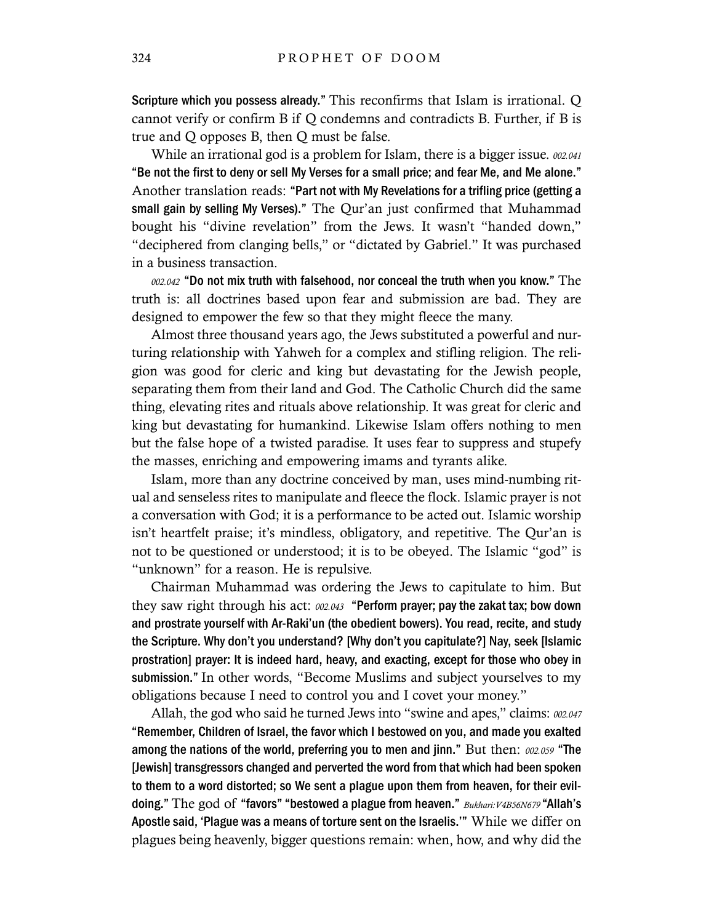Scripture which you possess already." This reconfirms that Islam is irrational. Q cannot verify or confirm B if Q condemns and contradicts B. Further, if B is true and Q opposes B, then Q must be false.

While an irrational god is a problem for Islam, there is a bigger issue. *002.041* "Be not the first to deny or sell My Verses for a small price; and fear Me, and Me alone." Another translation reads: "Part not with My Revelations for a trifling price (getting a small gain by selling My Verses)." The Qur'an just confirmed that Muhammad bought his "divine revelation" from the Jews. It wasn't "handed down," "deciphered from clanging bells," or "dictated by Gabriel." It was purchased in a business transaction.

*002.042* "Do not mix truth with falsehood, nor conceal the truth when you know." The truth is: all doctrines based upon fear and submission are bad. They are designed to empower the few so that they might fleece the many.

Almost three thousand years ago, the Jews substituted a powerful and nurturing relationship with Yahweh for a complex and stifling religion. The religion was good for cleric and king but devastating for the Jewish people, separating them from their land and God. The Catholic Church did the same thing, elevating rites and rituals above relationship. It was great for cleric and king but devastating for humankind. Likewise Islam offers nothing to men but the false hope of a twisted paradise. It uses fear to suppress and stupefy the masses, enriching and empowering imams and tyrants alike.

Islam, more than any doctrine conceived by man, uses mind-numbing ritual and senseless rites to manipulate and fleece the flock. Islamic prayer is not a conversation with God; it is a performance to be acted out. Islamic worship isn't heartfelt praise; it's mindless, obligatory, and repetitive. The Qur'an is not to be questioned or understood; it is to be obeyed. The Islamic "god" is "unknown" for a reason. He is repulsive.

Chairman Muhammad was ordering the Jews to capitulate to him. But they saw right through his act: *002.043* "Perform prayer; pay the zakat tax; bow down and prostrate yourself with Ar-Raki'un (the obedient bowers). You read, recite, and study the Scripture. Why don't you understand? [Why don't you capitulate?] Nay, seek [Islamic prostration] prayer: It is indeed hard, heavy, and exacting, except for those who obey in submission." In other words, "Become Muslims and subject yourselves to my obligations because I need to control you and I covet your money."

Allah, the god who said he turned Jews into "swine and apes," claims: *002.047* "Remember, Children of Israel, the favor which I bestowed on you, and made you exalted among the nations of the world, preferring you to men and jinn." But then: *002.059* "The [Jewish] transgressors changed and perverted the word from that which had been spoken to them to a word distorted; so We sent a plague upon them from heaven, for their evildoing." The god of "favors" "bestowed a plague from heaven." *Bukhari:V4B56N679* "Allah's Apostle said, 'Plague was a means of torture sent on the Israelis.'" While we differ on plagues being heavenly, bigger questions remain: when, how, and why did the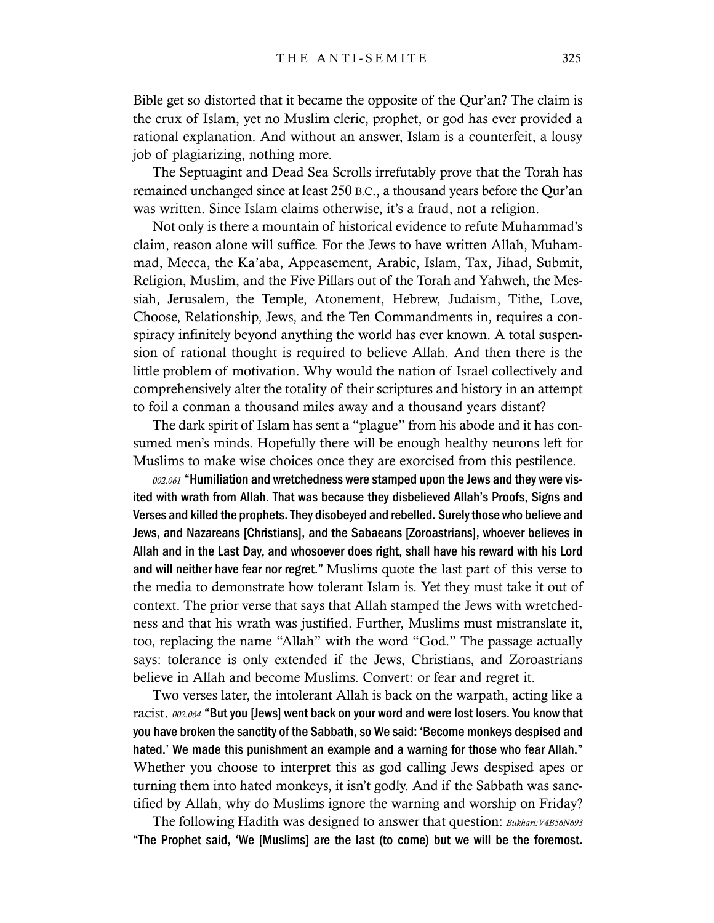Bible get so distorted that it became the opposite of the Qur'an? The claim is the crux of Islam, yet no Muslim cleric, prophet, or god has ever provided a rational explanation. And without an answer, Islam is a counterfeit, a lousy job of plagiarizing, nothing more.

The Septuagint and Dead Sea Scrolls irrefutably prove that the Torah has remained unchanged since at least 250 B.C., a thousand years before the Qur'an was written. Since Islam claims otherwise, it's a fraud, not a religion.

Not only is there a mountain of historical evidence to refute Muhammad's claim, reason alone will suffice. For the Jews to have written Allah, Muhammad, Mecca, the Ka'aba, Appeasement, Arabic, Islam, Tax, Jihad, Submit, Religion, Muslim, and the Five Pillars out of the Torah and Yahweh, the Messiah, Jerusalem, the Temple, Atonement, Hebrew, Judaism, Tithe, Love, Choose, Relationship, Jews, and the Ten Commandments in, requires a conspiracy infinitely beyond anything the world has ever known. A total suspension of rational thought is required to believe Allah. And then there is the little problem of motivation. Why would the nation of Israel collectively and comprehensively alter the totality of their scriptures and history in an attempt to foil a conman a thousand miles away and a thousand years distant?

The dark spirit of Islam has sent a "plague" from his abode and it has consumed men's minds. Hopefully there will be enough healthy neurons left for Muslims to make wise choices once they are exorcised from this pestilence.

*002.061* "Humiliation and wretchedness were stamped upon the Jews and they were visited with wrath from Allah. That was because they disbelieved Allah's Proofs, Signs and Verses and killed the prophets. They disobeyed and rebelled. Surely those who believe and Jews, and Nazareans [Christians], and the Sabaeans [Zoroastrians], whoever believes in Allah and in the Last Day, and whosoever does right, shall have his reward with his Lord and will neither have fear nor regret." Muslims quote the last part of this verse to the media to demonstrate how tolerant Islam is. Yet they must take it out of context. The prior verse that says that Allah stamped the Jews with wretchedness and that his wrath was justified. Further, Muslims must mistranslate it, too, replacing the name "Allah" with the word "God." The passage actually says: tolerance is only extended if the Jews, Christians, and Zoroastrians believe in Allah and become Muslims. Convert: or fear and regret it.

Two verses later, the intolerant Allah is back on the warpath, acting like a racist. *002.064* "But you [Jews] went back on your word and were lost losers. You know that you have broken the sanctity of the Sabbath, so We said: 'Become monkeys despised and hated.' We made this punishment an example and a warning for those who fear Allah." Whether you choose to interpret this as god calling Jews despised apes or turning them into hated monkeys, it isn't godly. And if the Sabbath was sanctified by Allah, why do Muslims ignore the warning and worship on Friday?

The following Hadith was designed to answer that question: *Bukhari:V4B56N693* "The Prophet said, 'We [Muslims] are the last (to come) but we will be the foremost.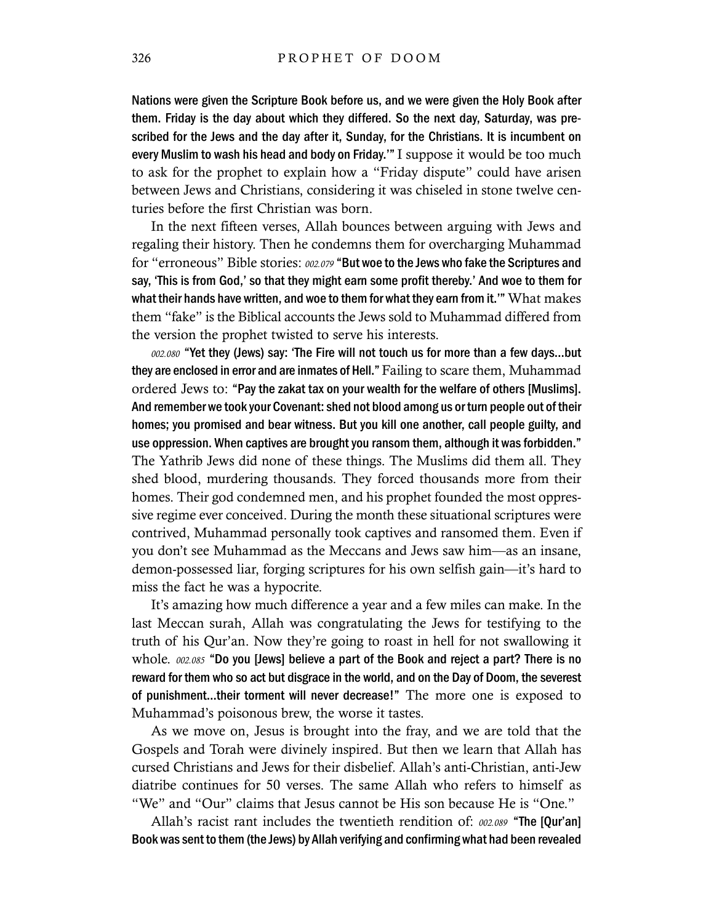Nations were given the Scripture Book before us, and we were given the Holy Book after them. Friday is the day about which they differed. So the next day, Saturday, was prescribed for the Jews and the day after it, Sunday, for the Christians. It is incumbent on every Muslim to wash his head and body on Friday.'" I suppose it would be too much to ask for the prophet to explain how a "Friday dispute" could have arisen between Jews and Christians, considering it was chiseled in stone twelve centuries before the first Christian was born.

In the next fifteen verses, Allah bounces between arguing with Jews and regaling their history. Then he condemns them for overcharging Muhammad for "erroneous" Bible stories: *002.079* "But woe to the Jews who fake the Scriptures and say, 'This is from God,' so that they might earn some profit thereby.' And woe to them for what their hands have written, and woe to them for what they earn from it.'" What makes them "fake" is the Biblical accounts the Jews sold to Muhammad differed from the version the prophet twisted to serve his interests.

*002.080* "Yet they (Jews) say: 'The Fire will not touch us for more than a few days…but they are enclosed in error and are inmates of Hell." Failing to scare them, Muhammad ordered Jews to: "Pay the zakat tax on your wealth for the welfare of others [Muslims]. And remember we took your Covenant: shed not blood among us or turn people out of their homes; you promised and bear witness. But you kill one another, call people guilty, and use oppression. When captives are brought you ransom them, although it was forbidden." The Yathrib Jews did none of these things. The Muslims did them all. They shed blood, murdering thousands. They forced thousands more from their homes. Their god condemned men, and his prophet founded the most oppressive regime ever conceived. During the month these situational scriptures were contrived, Muhammad personally took captives and ransomed them. Even if you don't see Muhammad as the Meccans and Jews saw him—as an insane, demon-possessed liar, forging scriptures for his own selfish gain—it's hard to miss the fact he was a hypocrite.

It's amazing how much difference a year and a few miles can make. In the last Meccan surah, Allah was congratulating the Jews for testifying to the truth of his Qur'an. Now they're going to roast in hell for not swallowing it whole. *002.085* "Do you [Jews] believe a part of the Book and reject a part? There is no reward for them who so act but disgrace in the world, and on the Day of Doom, the severest of punishment…their torment will never decrease!" The more one is exposed to Muhammad's poisonous brew, the worse it tastes.

As we move on, Jesus is brought into the fray, and we are told that the Gospels and Torah were divinely inspired. But then we learn that Allah has cursed Christians and Jews for their disbelief. Allah's anti-Christian, anti-Jew diatribe continues for 50 verses. The same Allah who refers to himself as "We" and "Our" claims that Jesus cannot be His son because He is "One."

Allah's racist rant includes the twentieth rendition of: *002.089* "The [Qur'an] Book was sent to them (the Jews) by Allah verifying and confirming what had been revealed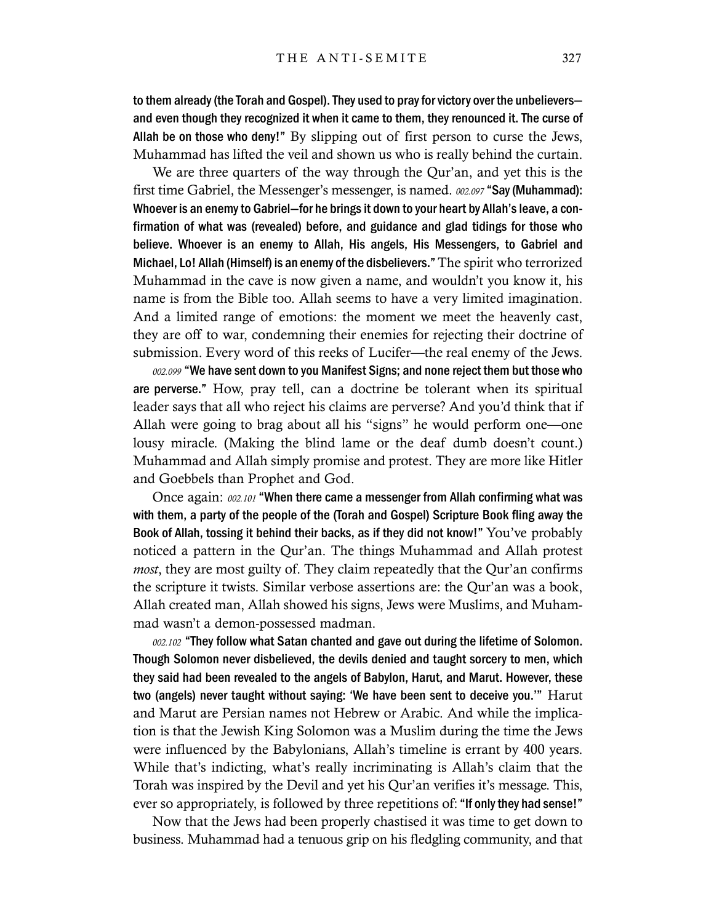to them already (the Torah and Gospel). They used to pray for victory over the unbelievers and even though they recognized it when it came to them, they renounced it. The curse of Allah be on those who deny!" By slipping out of first person to curse the Jews, Muhammad has lifted the veil and shown us who is really behind the curtain.

We are three quarters of the way through the Qur'an, and yet this is the first time Gabriel, the Messenger's messenger, is named. *002.097* "Say (Muhammad): Whoever is an enemy to Gabriel—for he brings it down to your heart by Allah's leave, a confirmation of what was (revealed) before, and guidance and glad tidings for those who believe. Whoever is an enemy to Allah, His angels, His Messengers, to Gabriel and Michael, Lo! Allah (Himself) is an enemy of the disbelievers." The spirit who terrorized Muhammad in the cave is now given a name, and wouldn't you know it, his name is from the Bible too. Allah seems to have a very limited imagination. And a limited range of emotions: the moment we meet the heavenly cast, they are off to war, condemning their enemies for rejecting their doctrine of submission. Every word of this reeks of Lucifer—the real enemy of the Jews.

*002.099* "We have sent down to you Manifest Signs; and none reject them but those who are perverse." How, pray tell, can a doctrine be tolerant when its spiritual leader says that all who reject his claims are perverse? And you'd think that if Allah were going to brag about all his "signs" he would perform one—one lousy miracle. (Making the blind lame or the deaf dumb doesn't count.) Muhammad and Allah simply promise and protest. They are more like Hitler and Goebbels than Prophet and God.

Once again: *002.101* "When there came a messenger from Allah confirming what was with them, a party of the people of the (Torah and Gospel) Scripture Book fling away the Book of Allah, tossing it behind their backs, as if they did not know!" You've probably noticed a pattern in the Qur'an. The things Muhammad and Allah protest *most*, they are most guilty of. They claim repeatedly that the Qur'an confirms the scripture it twists. Similar verbose assertions are: the Qur'an was a book, Allah created man, Allah showed his signs, Jews were Muslims, and Muhammad wasn't a demon-possessed madman.

*002.102* "They follow what Satan chanted and gave out during the lifetime of Solomon. Though Solomon never disbelieved, the devils denied and taught sorcery to men, which they said had been revealed to the angels of Babylon, Harut, and Marut. However, these two (angels) never taught without saying: 'We have been sent to deceive you.'" Harut and Marut are Persian names not Hebrew or Arabic. And while the implication is that the Jewish King Solomon was a Muslim during the time the Jews were influenced by the Babylonians, Allah's timeline is errant by 400 years. While that's indicting, what's really incriminating is Allah's claim that the Torah was inspired by the Devil and yet his Qur'an verifies it's message. This, ever so appropriately, is followed by three repetitions of: "If only they had sense!"

Now that the Jews had been properly chastised it was time to get down to business. Muhammad had a tenuous grip on his fledgling community, and that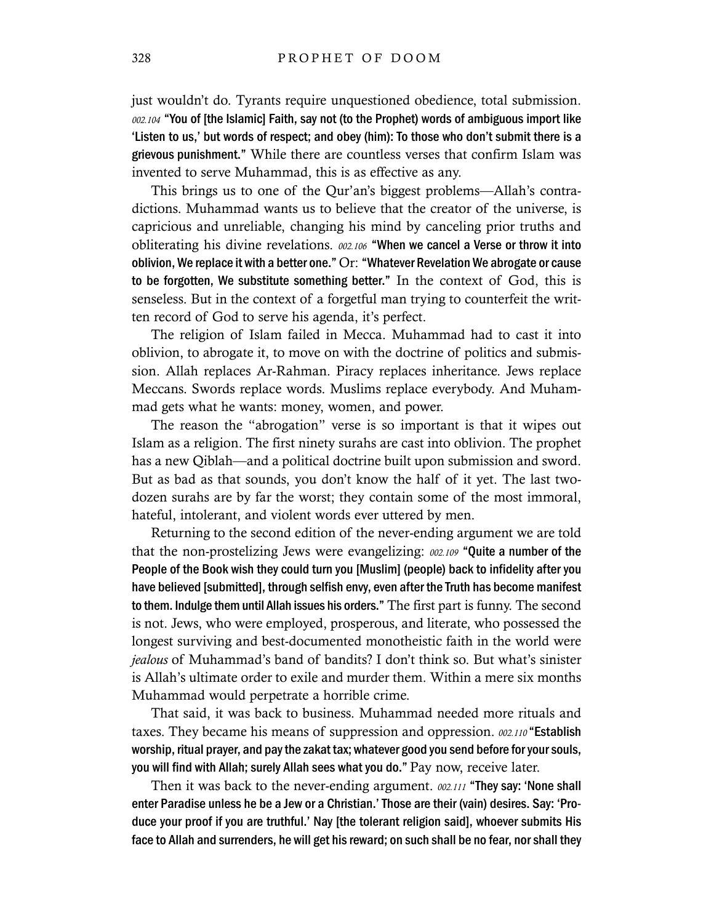just wouldn't do. Tyrants require unquestioned obedience, total submission. *002.104* "You of [the Islamic] Faith, say not (to the Prophet) words of ambiguous import like 'Listen to us,' but words of respect; and obey (him): To those who don't submit there is a grievous punishment." While there are countless verses that confirm Islam was invented to serve Muhammad, this is as effective as any.

This brings us to one of the Qur'an's biggest problems—Allah's contradictions. Muhammad wants us to believe that the creator of the universe, is capricious and unreliable, changing his mind by canceling prior truths and obliterating his divine revelations. *002.106* "When we cancel a Verse or throw it into oblivion, We replace it with a better one." Or: "Whatever Revelation We abrogate or cause to be forgotten, We substitute something better." In the context of God, this is senseless. But in the context of a forgetful man trying to counterfeit the written record of God to serve his agenda, it's perfect.

The religion of Islam failed in Mecca. Muhammad had to cast it into oblivion, to abrogate it, to move on with the doctrine of politics and submission. Allah replaces Ar-Rahman. Piracy replaces inheritance. Jews replace Meccans. Swords replace words. Muslims replace everybody. And Muhammad gets what he wants: money, women, and power.

The reason the "abrogation" verse is so important is that it wipes out Islam as a religion. The first ninety surahs are cast into oblivion. The prophet has a new Qiblah—and a political doctrine built upon submission and sword. But as bad as that sounds, you don't know the half of it yet. The last twodozen surahs are by far the worst; they contain some of the most immoral, hateful, intolerant, and violent words ever uttered by men.

Returning to the second edition of the never-ending argument we are told that the non-prostelizing Jews were evangelizing: *002.109* "Quite a number of the People of the Book wish they could turn you [Muslim] (people) back to infidelity after you have believed [submitted], through selfish envy, even after the Truth has become manifest to them. Indulge them until Allah issues his orders." The first part is funny. The second is not. Jews, who were employed, prosperous, and literate, who possessed the longest surviving and best-documented monotheistic faith in the world were *jealous* of Muhammad's band of bandits? I don't think so. But what's sinister is Allah's ultimate order to exile and murder them. Within a mere six months Muhammad would perpetrate a horrible crime.

That said, it was back to business. Muhammad needed more rituals and taxes. They became his means of suppression and oppression. *002.110* "Establish worship, ritual prayer, and pay the zakat tax; whatever good you send before for your souls, you will find with Allah; surely Allah sees what you do." Pay now, receive later.

Then it was back to the never-ending argument. *002.111* "They say: 'None shall enter Paradise unless he be a Jew or a Christian.' Those are their (vain) desires. Say: 'Produce your proof if you are truthful.' Nay [the tolerant religion said], whoever submits His face to Allah and surrenders, he will get his reward; on such shall be no fear, nor shall they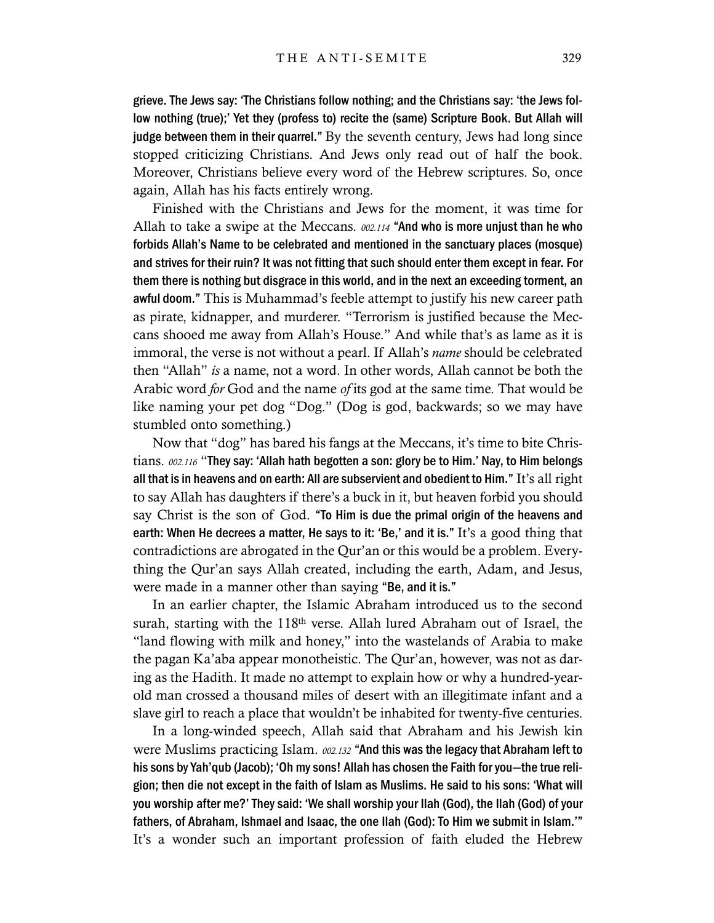grieve. The Jews say: 'The Christians follow nothing; and the Christians say: 'the Jews follow nothing (true);' Yet they (profess to) recite the (same) Scripture Book. But Allah will judge between them in their quarrel." By the seventh century, Jews had long since stopped criticizing Christians. And Jews only read out of half the book. Moreover, Christians believe every word of the Hebrew scriptures. So, once again, Allah has his facts entirely wrong.

Finished with the Christians and Jews for the moment, it was time for Allah to take a swipe at the Meccans. *002.114* "And who is more unjust than he who forbids Allah's Name to be celebrated and mentioned in the sanctuary places (mosque) and strives for their ruin? It was not fitting that such should enter them except in fear. For them there is nothing but disgrace in this world, and in the next an exceeding torment, an awful doom." This is Muhammad's feeble attempt to justify his new career path as pirate, kidnapper, and murderer. "Terrorism is justified because the Meccans shooed me away from Allah's House." And while that's as lame as it is immoral, the verse is not without a pearl. If Allah's *name* should be celebrated then "Allah" *is* a name, not a word. In other words, Allah cannot be both the Arabic word *for* God and the name *of* its god at the same time. That would be like naming your pet dog "Dog." (Dog is god, backwards; so we may have stumbled onto something.)

Now that "dog" has bared his fangs at the Meccans, it's time to bite Christians. *002.116* "They say: 'Allah hath begotten a son: glory be to Him.' Nay, to Him belongs all that is in heavens and on earth: All are subservient and obedient to Him." It's all right to say Allah has daughters if there's a buck in it, but heaven forbid you should say Christ is the son of God. "To Him is due the primal origin of the heavens and earth: When He decrees a matter, He says to it: 'Be,' and it is." It's a good thing that contradictions are abrogated in the Qur'an or this would be a problem. Everything the Qur'an says Allah created, including the earth, Adam, and Jesus, were made in a manner other than saying "Be, and it is."

In an earlier chapter, the Islamic Abraham introduced us to the second surah, starting with the 118<sup>th</sup> verse. Allah lured Abraham out of Israel, the "land flowing with milk and honey," into the wastelands of Arabia to make the pagan Ka'aba appear monotheistic. The Qur'an, however, was not as daring as the Hadith. It made no attempt to explain how or why a hundred-yearold man crossed a thousand miles of desert with an illegitimate infant and a slave girl to reach a place that wouldn't be inhabited for twenty-five centuries.

In a long-winded speech, Allah said that Abraham and his Jewish kin were Muslims practicing Islam. *002.132* "And this was the legacy that Abraham left to his sons by Yah'qub (Jacob); 'Oh my sons! Allah has chosen the Faith for you—the true religion; then die not except in the faith of Islam as Muslims. He said to his sons: 'What will you worship after me?' They said: 'We shall worship your Ilah (God), the Ilah (God) of your fathers, of Abraham, Ishmael and Isaac, the one Ilah (God): To Him we submit in Islam.'" It's a wonder such an important profession of faith eluded the Hebrew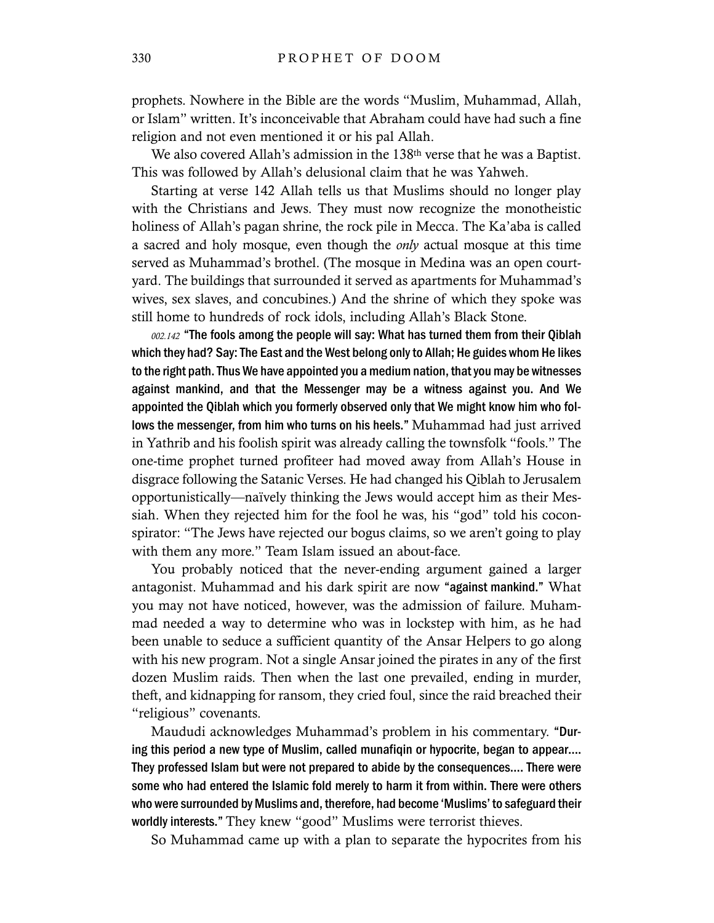prophets. Nowhere in the Bible are the words "Muslim, Muhammad, Allah, or Islam" written. It's inconceivable that Abraham could have had such a fine religion and not even mentioned it or his pal Allah.

We also covered Allah's admission in the 138<sup>th</sup> verse that he was a Baptist. This was followed by Allah's delusional claim that he was Yahweh.

Starting at verse 142 Allah tells us that Muslims should no longer play with the Christians and Jews. They must now recognize the monotheistic holiness of Allah's pagan shrine, the rock pile in Mecca. The Ka'aba is called a sacred and holy mosque, even though the *only* actual mosque at this time served as Muhammad's brothel. (The mosque in Medina was an open courtyard. The buildings that surrounded it served as apartments for Muhammad's wives, sex slaves, and concubines.) And the shrine of which they spoke was still home to hundreds of rock idols, including Allah's Black Stone.

*002.142* "The fools among the people will say: What has turned them from their Qiblah which they had? Say: The East and the West belong only to Allah; He guides whom He likes to the right path. Thus We have appointed you a medium nation, that you may be witnesses against mankind, and that the Messenger may be a witness against you. And We appointed the Qiblah which you formerly observed only that We might know him who follows the messenger, from him who turns on his heels." Muhammad had just arrived in Yathrib and his foolish spirit was already calling the townsfolk "fools." The one-time prophet turned profiteer had moved away from Allah's House in disgrace following the Satanic Verses. He had changed his Qiblah to Jerusalem opportunistically—naïvely thinking the Jews would accept him as their Messiah. When they rejected him for the fool he was, his "god" told his coconspirator: "The Jews have rejected our bogus claims, so we aren't going to play with them any more." Team Islam issued an about-face.

You probably noticed that the never-ending argument gained a larger antagonist. Muhammad and his dark spirit are now "against mankind." What you may not have noticed, however, was the admission of failure. Muhammad needed a way to determine who was in lockstep with him, as he had been unable to seduce a sufficient quantity of the Ansar Helpers to go along with his new program. Not a single Ansar joined the pirates in any of the first dozen Muslim raids. Then when the last one prevailed, ending in murder, theft, and kidnapping for ransom, they cried foul, since the raid breached their "religious" covenants.

Maududi acknowledges Muhammad's problem in his commentary. "During this period a new type of Muslim, called munafiqin or hypocrite, began to appear…. They professed Islam but were not prepared to abide by the consequences…. There were some who had entered the Islamic fold merely to harm it from within. There were others who were surrounded by Muslims and, therefore, had become 'Muslims' to safeguard their worldly interests." They knew "good" Muslims were terrorist thieves.

So Muhammad came up with a plan to separate the hypocrites from his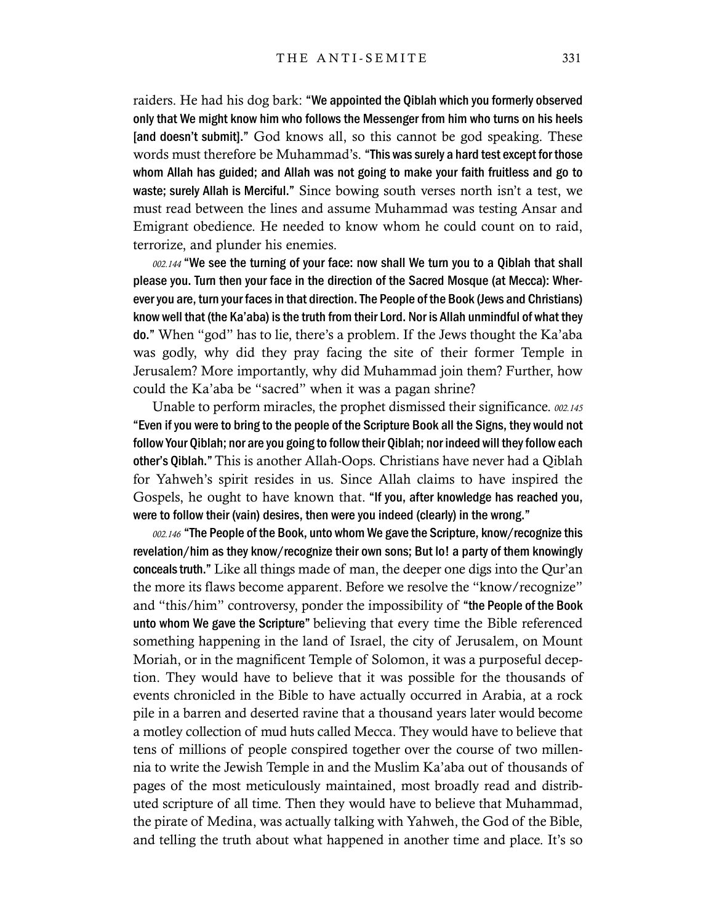raiders. He had his dog bark: "We appointed the Qiblah which you formerly observed only that We might know him who follows the Messenger from him who turns on his heels [and doesn't submit]." God knows all, so this cannot be god speaking. These words must therefore be Muhammad's. "This was surely a hard test except for those whom Allah has guided; and Allah was not going to make your faith fruitless and go to waste; surely Allah is Merciful." Since bowing south verses north isn't a test, we must read between the lines and assume Muhammad was testing Ansar and Emigrant obedience. He needed to know whom he could count on to raid, terrorize, and plunder his enemies.

*002.144* "We see the turning of your face: now shall We turn you to a Qiblah that shall please you. Turn then your face in the direction of the Sacred Mosque (at Mecca): Wherever you are, turn your faces in that direction. The People of the Book (Jews and Christians) know well that (the Ka'aba) is the truth from their Lord. Nor is Allah unmindful of what they do." When "god" has to lie, there's a problem. If the Jews thought the Ka'aba was godly, why did they pray facing the site of their former Temple in Jerusalem? More importantly, why did Muhammad join them? Further, how could the Ka'aba be "sacred" when it was a pagan shrine?

Unable to perform miracles, the prophet dismissed their significance. *002.145* "Even if you were to bring to the people of the Scripture Book all the Signs, they would not follow Your Qiblah; nor are you going to follow their Qiblah; nor indeed will they follow each other's Qiblah." This is another Allah-Oops. Christians have never had a Qiblah for Yahweh's spirit resides in us. Since Allah claims to have inspired the Gospels, he ought to have known that. "If you, after knowledge has reached you, were to follow their (vain) desires, then were you indeed (clearly) in the wrong."

*002.146* "The People of the Book, unto whom We gave the Scripture, know/recognize this revelation/him as they know/recognize their own sons; But lo! a party of them knowingly conceals truth." Like all things made of man, the deeper one digs into the Qur'an the more its flaws become apparent. Before we resolve the "know/recognize" and "this/him" controversy, ponder the impossibility of "the People of the Book unto whom We gave the Scripture" believing that every time the Bible referenced something happening in the land of Israel, the city of Jerusalem, on Mount Moriah, or in the magnificent Temple of Solomon, it was a purposeful deception. They would have to believe that it was possible for the thousands of events chronicled in the Bible to have actually occurred in Arabia, at a rock pile in a barren and deserted ravine that a thousand years later would become a motley collection of mud huts called Mecca. They would have to believe that tens of millions of people conspired together over the course of two millennia to write the Jewish Temple in and the Muslim Ka'aba out of thousands of pages of the most meticulously maintained, most broadly read and distributed scripture of all time. Then they would have to believe that Muhammad, the pirate of Medina, was actually talking with Yahweh, the God of the Bible, and telling the truth about what happened in another time and place. It's so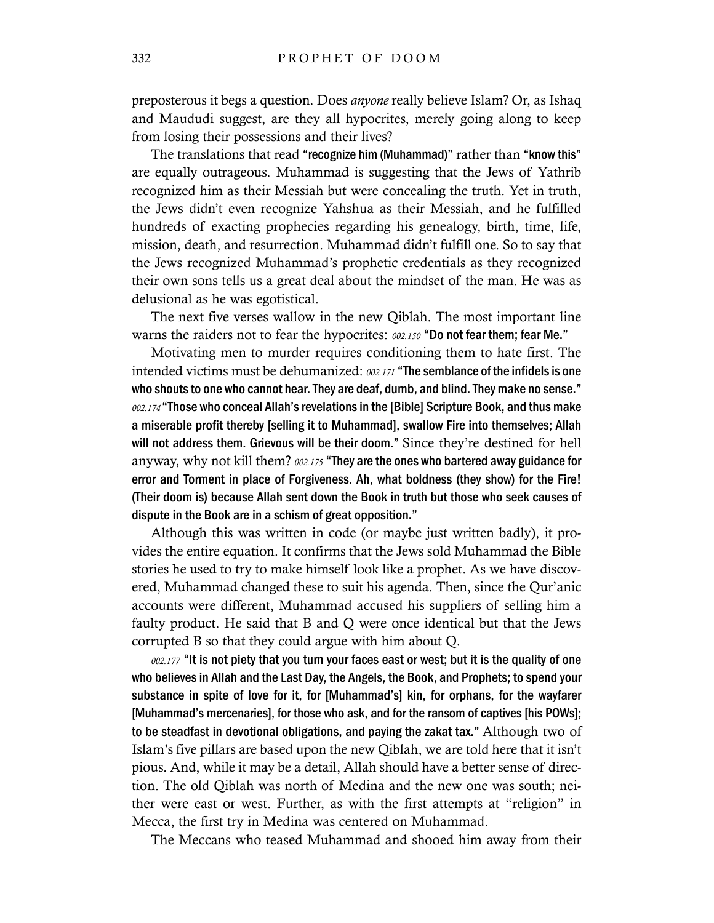preposterous it begs a question. Does *anyone* really believe Islam? Or, as Ishaq and Maududi suggest, are they all hypocrites, merely going along to keep from losing their possessions and their lives?

The translations that read "recognize him (Muhammad)" rather than "know this" are equally outrageous. Muhammad is suggesting that the Jews of Yathrib recognized him as their Messiah but were concealing the truth. Yet in truth, the Jews didn't even recognize Yahshua as their Messiah, and he fulfilled hundreds of exacting prophecies regarding his genealogy, birth, time, life, mission, death, and resurrection. Muhammad didn't fulfill one. So to say that the Jews recognized Muhammad's prophetic credentials as they recognized their own sons tells us a great deal about the mindset of the man. He was as delusional as he was egotistical.

The next five verses wallow in the new Qiblah. The most important line warns the raiders not to fear the hypocrites: *002.150* "Do not fear them; fear Me."

Motivating men to murder requires conditioning them to hate first. The intended victims must be dehumanized: *002.171* "The semblance of the infidels is one who shouts to one who cannot hear. They are deaf, dumb, and blind. They make no sense." *002.174* "Those who conceal Allah's revelations in the [Bible] Scripture Book, and thus make a miserable profit thereby [selling it to Muhammad], swallow Fire into themselves; Allah will not address them. Grievous will be their doom." Since they're destined for hell anyway, why not kill them? *002.175* "They are the ones who bartered away guidance for error and Torment in place of Forgiveness. Ah, what boldness (they show) for the Fire! (Their doom is) because Allah sent down the Book in truth but those who seek causes of dispute in the Book are in a schism of great opposition."

Although this was written in code (or maybe just written badly), it provides the entire equation. It confirms that the Jews sold Muhammad the Bible stories he used to try to make himself look like a prophet. As we have discovered, Muhammad changed these to suit his agenda. Then, since the Qur'anic accounts were different, Muhammad accused his suppliers of selling him a faulty product. He said that B and Q were once identical but that the Jews corrupted B so that they could argue with him about Q.

*002.177* "It is not piety that you turn your faces east or west; but it is the quality of one who believes in Allah and the Last Day, the Angels, the Book, and Prophets; to spend your substance in spite of love for it, for [Muhammad's] kin, for orphans, for the wayfarer [Muhammad's mercenaries], for those who ask, and for the ransom of captives [his POWs]; to be steadfast in devotional obligations, and paying the zakat tax." Although two of Islam's five pillars are based upon the new Qiblah, we are told here that it isn't pious. And, while it may be a detail, Allah should have a better sense of direction. The old Qiblah was north of Medina and the new one was south; neither were east or west. Further, as with the first attempts at "religion" in Mecca, the first try in Medina was centered on Muhammad.

The Meccans who teased Muhammad and shooed him away from their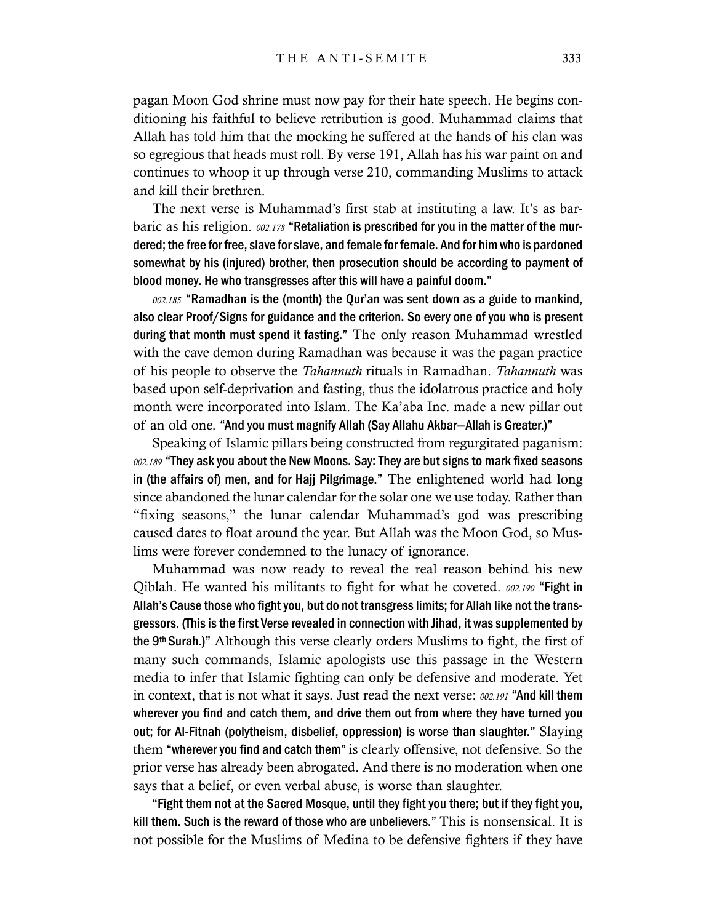pagan Moon God shrine must now pay for their hate speech. He begins conditioning his faithful to believe retribution is good. Muhammad claims that Allah has told him that the mocking he suffered at the hands of his clan was so egregious that heads must roll. By verse 191, Allah has his war paint on and continues to whoop it up through verse 210, commanding Muslims to attack and kill their brethren.

The next verse is Muhammad's first stab at instituting a law. It's as barbaric as his religion. *002.178* "Retaliation is prescribed for you in the matter of the murdered; the free for free, slave for slave, and female for female. And for him who is pardoned somewhat by his (injured) brother, then prosecution should be according to payment of blood money. He who transgresses after this will have a painful doom."

*002.185* "Ramadhan is the (month) the Qur'an was sent down as a guide to mankind, also clear Proof/Signs for guidance and the criterion. So every one of you who is present during that month must spend it fasting." The only reason Muhammad wrestled with the cave demon during Ramadhan was because it was the pagan practice of his people to observe the *Tahannuth* rituals in Ramadhan. *Tahannuth* was based upon self-deprivation and fasting, thus the idolatrous practice and holy month were incorporated into Islam. The Ka'aba Inc. made a new pillar out of an old one. "And you must magnify Allah (Say Allahu Akbar—Allah is Greater.)"

Speaking of Islamic pillars being constructed from regurgitated paganism: *002.189* "They ask you about the New Moons. Say: They are but signs to mark fixed seasons in (the affairs of) men, and for Hajj Pilgrimage." The enlightened world had long since abandoned the lunar calendar for the solar one we use today. Rather than "fixing seasons," the lunar calendar Muhammad's god was prescribing caused dates to float around the year. But Allah was the Moon God, so Muslims were forever condemned to the lunacy of ignorance.

Muhammad was now ready to reveal the real reason behind his new Qiblah. He wanted his militants to fight for what he coveted. *002.190* "Fight in Allah's Cause those who fight you, but do not transgress limits; for Allah like not the transgressors. (This is the first Verse revealed in connection with Jihad, it was supplemented by the 9th Surah.)" Although this verse clearly orders Muslims to fight, the first of many such commands, Islamic apologists use this passage in the Western media to infer that Islamic fighting can only be defensive and moderate. Yet in context, that is not what it says. Just read the next verse: *002.191* "And kill them wherever you find and catch them, and drive them out from where they have turned you out; for Al-Fitnah (polytheism, disbelief, oppression) is worse than slaughter." Slaying them "wherever you find and catch them" is clearly offensive, not defensive. So the prior verse has already been abrogated. And there is no moderation when one says that a belief, or even verbal abuse, is worse than slaughter.

"Fight them not at the Sacred Mosque, until they fight you there; but if they fight you, kill them. Such is the reward of those who are unbelievers." This is nonsensical. It is not possible for the Muslims of Medina to be defensive fighters if they have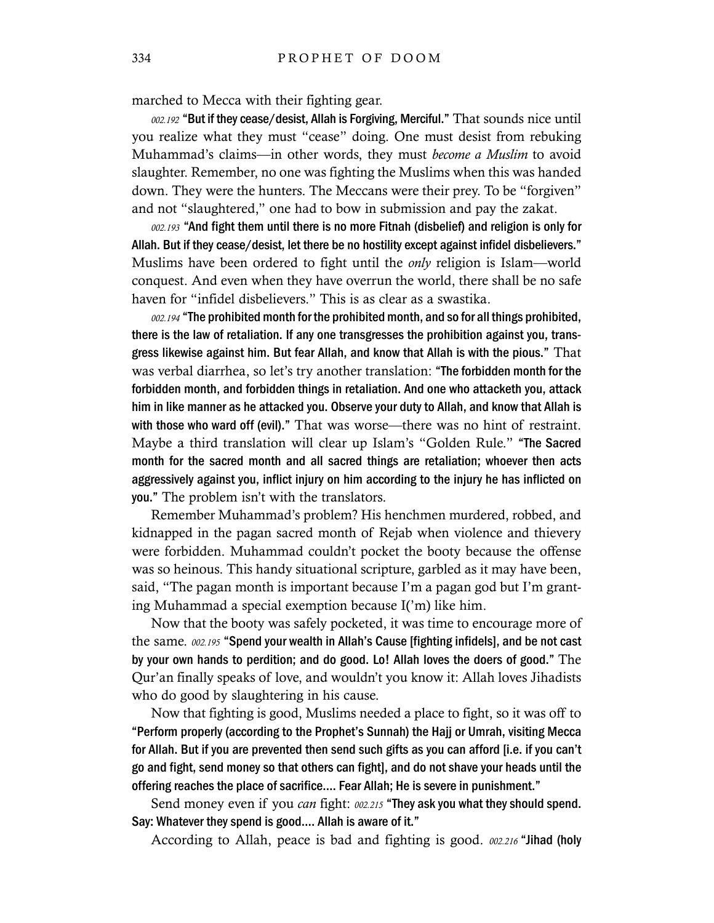marched to Mecca with their fighting gear.

*002.192* "But if they cease/desist, Allah is Forgiving, Merciful." That sounds nice until you realize what they must "cease" doing. One must desist from rebuking Muhammad's claims—in other words, they must *become a Muslim* to avoid slaughter. Remember, no one was fighting the Muslims when this was handed down. They were the hunters. The Meccans were their prey. To be "forgiven" and not "slaughtered," one had to bow in submission and pay the zakat.

*002.193* "And fight them until there is no more Fitnah (disbelief) and religion is only for Allah. But if they cease/desist, let there be no hostility except against infidel disbelievers." Muslims have been ordered to fight until the *only* religion is Islam—world conquest. And even when they have overrun the world, there shall be no safe haven for "infidel disbelievers." This is as clear as a swastika.

*002.194* "The prohibited month for the prohibited month, and so for all things prohibited, there is the law of retaliation. If any one transgresses the prohibition against you, transgress likewise against him. But fear Allah, and know that Allah is with the pious." That was verbal diarrhea, so let's try another translation: "The forbidden month for the forbidden month, and forbidden things in retaliation. And one who attacketh you, attack him in like manner as he attacked you. Observe your duty to Allah, and know that Allah is with those who ward off (evil)." That was worse—there was no hint of restraint. Maybe a third translation will clear up Islam's "Golden Rule." "The Sacred month for the sacred month and all sacred things are retaliation; whoever then acts aggressively against you, inflict injury on him according to the injury he has inflicted on you." The problem isn't with the translators.

Remember Muhammad's problem? His henchmen murdered, robbed, and kidnapped in the pagan sacred month of Rejab when violence and thievery were forbidden. Muhammad couldn't pocket the booty because the offense was so heinous. This handy situational scripture, garbled as it may have been, said, "The pagan month is important because I'm a pagan god but I'm granting Muhammad a special exemption because I('m) like him.

Now that the booty was safely pocketed, it was time to encourage more of the same. *002.195* "Spend your wealth in Allah's Cause [fighting infidels], and be not cast by your own hands to perdition; and do good. Lo! Allah loves the doers of good." The Qur'an finally speaks of love, and wouldn't you know it: Allah loves Jihadists who do good by slaughtering in his cause.

Now that fighting is good, Muslims needed a place to fight, so it was off to "Perform properly (according to the Prophet's Sunnah) the Hajj or Umrah, visiting Mecca for Allah. But if you are prevented then send such gifts as you can afford [i.e. if you can't go and fight, send money so that others can fight], and do not shave your heads until the offering reaches the place of sacrifice.… Fear Allah; He is severe in punishment."

Send money even if you *can* fight: *002.215* "They ask you what they should spend. Say: Whatever they spend is good…. Allah is aware of it."

According to Allah, peace is bad and fighting is good. *002.216* "Jihad (holy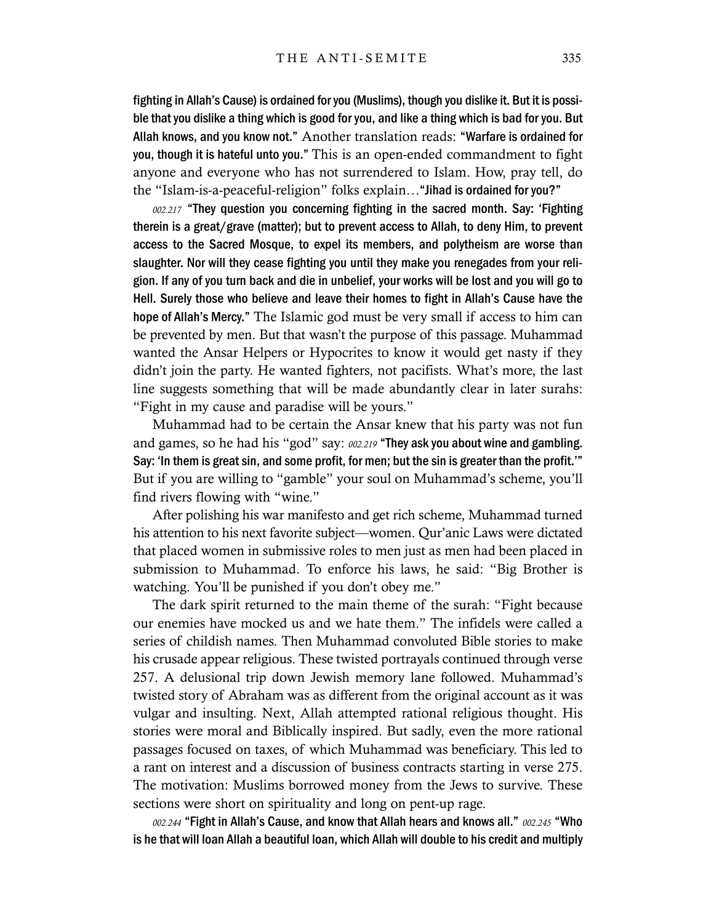fighting in Allah's Cause) is ordained for you (Muslims), though you dislike it. But it is possible that you dislike a thing which is good for you, and like a thing which is bad for you. But Allah knows, and you know not." Another translation reads: "Warfare is ordained for you, though it is hateful unto you." This is an open-ended commandment to fight anyone and everyone who has not surrendered to Islam. How, pray tell, do the "Islam-is-a-peaceful-religion" folks explain…"Jihad is ordained for you?"

*002.217* "They question you concerning fighting in the sacred month. Say: 'Fighting therein is a great/grave (matter); but to prevent access to Allah, to deny Him, to prevent access to the Sacred Mosque, to expel its members, and polytheism are worse than slaughter. Nor will they cease fighting you until they make you renegades from your religion. If any of you turn back and die in unbelief, your works will be lost and you will go to Hell. Surely those who believe and leave their homes to fight in Allah's Cause have the hope of Allah's Mercy." The Islamic god must be very small if access to him can be prevented by men. But that wasn't the purpose of this passage. Muhammad wanted the Ansar Helpers or Hypocrites to know it would get nasty if they didn't join the party. He wanted fighters, not pacifists. What's more, the last line suggests something that will be made abundantly clear in later surahs: "Fight in my cause and paradise will be yours."

Muhammad had to be certain the Ansar knew that his party was not fun and games, so he had his "god" say: *002.219* "They ask you about wine and gambling. Say: 'In them is great sin, and some profit, for men; but the sin is greater than the profit.'" But if you are willing to "gamble" your soul on Muhammad's scheme, you'll find rivers flowing with "wine."

After polishing his war manifesto and get rich scheme, Muhammad turned his attention to his next favorite subject—women. Qur'anic Laws were dictated that placed women in submissive roles to men just as men had been placed in submission to Muhammad. To enforce his laws, he said: "Big Brother is watching. You'll be punished if you don't obey me."

The dark spirit returned to the main theme of the surah: "Fight because our enemies have mocked us and we hate them." The infidels were called a series of childish names. Then Muhammad convoluted Bible stories to make his crusade appear religious. These twisted portrayals continued through verse 257. A delusional trip down Jewish memory lane followed. Muhammad's twisted story of Abraham was as different from the original account as it was vulgar and insulting. Next, Allah attempted rational religious thought. His stories were moral and Biblically inspired. But sadly, even the more rational passages focused on taxes, of which Muhammad was beneficiary. This led to a rant on interest and a discussion of business contracts starting in verse 275. The motivation: Muslims borrowed money from the Jews to survive. These sections were short on spirituality and long on pent-up rage.

*002.244* "Fight in Allah's Cause, and know that Allah hears and knows all." *002.245* "Who is he that will loan Allah a beautiful loan, which Allah will double to his credit and multiply